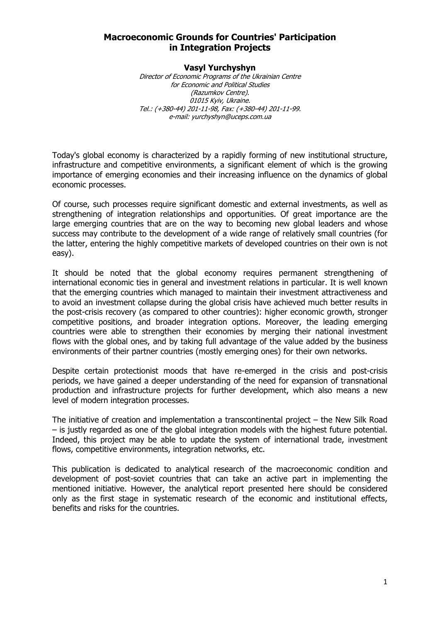### **Macroeconomic Grounds for Countries' Participation in Integration Projects**

#### **Vasyl Yurchyshyn**

Director of Economic Programs of the Ukrainian Centre for Economic and Political Studies (Razumkov Centre). 01015 Kyiv, Ukraine. Tel.: (+380-44) 201-11-98, Fax: (+380-44) 201-11-99. e-mail: yurchyshyn@uceps.com.ua

Today's global economy is characterized by a rapidly forming of new institutional structure, infrastructure and competitive environments, a significant element of which is the growing importance of emerging economies and their increasing influence on the dynamics of global economic processes.

Of course, such processes require significant domestic and external investments, as well as strengthening of integration relationships and opportunities. Of great importance are the large emerging countries that are on the way to becoming new global leaders and whose success may contribute to the development of a wide range of relatively small countries (for the latter, entering the highly competitive markets of developed countries on their own is not easy).

It should be noted that the global economy requires permanent strengthening of international economic ties in general and investment relations in particular. It is well known that the emerging countries which managed to maintain their investment attractiveness and to avoid an investment collapse during the global crisis have achieved much better results in the post-crisis recovery (as compared to other countries): higher economic growth, stronger competitive positions, and broader integration options. Moreover, the leading emerging countries were able to strengthen their economies by merging their national investment flows with the global ones, and by taking full advantage of the value added by the business environments of their partner countries (mostly emerging ones) for their own networks.

Despite certain protectionist moods that have re-emerged in the crisis and post-crisis periods, we have gained a deeper understanding of the need for expansion of transnational production and infrastructure projects for further development, which also means a new level of modern integration processes.

The initiative of creation and implementation a transcontinental project – the New Silk Road – is justly regarded as one of the global integration models with the highest future potential. Indeed, this project may be able to update the system of international trade, investment flows, competitive environments, integration networks, etc.

This publication is dedicated to analytical research of the macroeconomic condition and development of post-soviet countries that can take an active part in implementing the mentioned initiative. However, the analytical report presented here should be considered only as the first stage in systematic research of the economic and institutional effects, benefits and risks for the countries.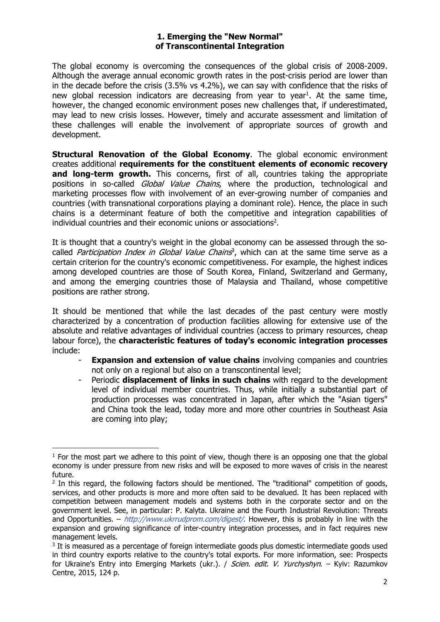#### **1. Emerging the "New Normal" of Transcontinental Integration**

The global economy is overcoming the consequences of the global crisis of 2008-2009. Although the average annual economic growth rates in the post-crisis period are lower than in the decade before the crisis (3.5% vs 4.2%), we can say with confidence that the risks of new global recession indicators are decreasing from year to year<sup>1</sup>. At the same time, however, the changed economic environment poses new challenges that, if underestimated, may lead to new crisis losses. However, timely and accurate assessment and limitation of these challenges will enable the involvement of appropriate sources of growth and development.

**Structural Renovation of the Global Economy**. The global economic environment creates additional **requirements for the constituent elements of economic recovery**  and long-term growth. This concerns, first of all, countries taking the appropriate positions in so-called *Global Value Chains*, where the production, technological and marketing processes flow with involvement of an ever-growing number of companies and countries (with transnational corporations playing a dominant role). Hence, the place in such chains is a determinant feature of both the competitive and integration capabilities of individual countries and their economic unions or associations<sup>2</sup>.

It is thought that a country's weight in the global economy can be assessed through the socalled *Participation Index in Global Value Chains*<sup>3</sup>, which can at the same time serve as a certain criterion for the country's economic competitiveness. For example, the highest indices among developed countries are those of South Korea, Finland, Switzerland and Germany, and among the emerging countries those of Malaysia and Thailand, whose competitive positions are rather strong.

It should be mentioned that while the last decades of the past century were mostly characterized by a concentration of production facilities allowing for extensive use of the absolute and relative advantages of individual countries (access to primary resources, cheap labour force), the **characteristic features of today's economic integration processes** include:

- **Expansion and extension of value chains** involving companies and countries not only on a regional but also on a transcontinental level;
- Periodic **displacement of links in such chains** with regard to the development level of individual member countries. Thus, while initially a substantial part of production processes was concentrated in Japan, after which the "Asian tigers" and China took the lead, today more and more other countries in Southeast Asia are coming into play;

  $<sup>1</sup>$  For the most part we adhere to this point of view, though there is an opposing one that the global</sup> economy is under pressure from new risks and will be exposed to more waves of crisis in the nearest future.

 $<sup>2</sup>$  In this regard, the following factors should be mentioned. The "traditional" competition of goods,</sup> services, and other products is more and more often said to be devalued. It has been replaced with competition between management models and systems both in the corporate sector and on the government level. See, in particular: P. Kalyta. Ukraine and the Fourth Industrial Revolution: Threats and Opportunities. – http://www.ukrrudprom.com/digest/. However, this is probably in line with the expansion and growing significance of inter-country integration processes, and in fact requires new management levels.

<sup>&</sup>lt;sup>3</sup> It is measured as a percentage of foreign intermediate goods plus domestic intermediate goods used in third country exports relative to the country's total exports. For more information, see: Prospects for Ukraine's Entry into Emerging Markets (ukr.). / Scien. edit. V. Yurchyshyn. - Kyiv: Razumkov Centre, 2015, 124 p.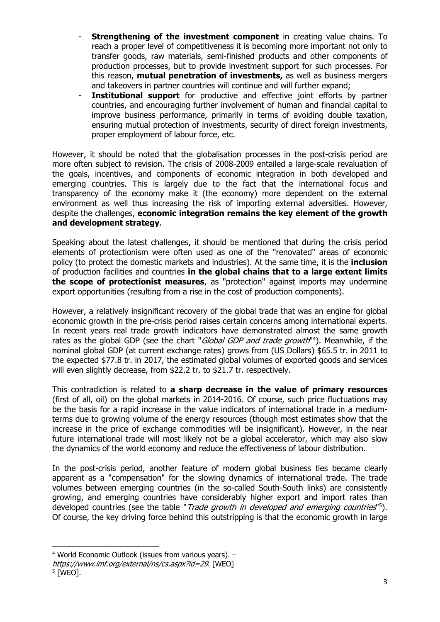- **Strengthening of the investment component** in creating value chains. To reach a proper level of competitiveness it is becoming more important not only to transfer goods, raw materials, semi-finished products and other components of production processes, but to provide investment support for such processes. For this reason, **mutual penetration of investments,** as well as business mergers and takeovers in partner countries will continue and will further expand;
- Institutional support for productive and effective joint efforts by partner countries, and encouraging further involvement of human and financial capital to improve business performance, primarily in terms of avoiding double taxation, ensuring mutual protection of investments, security of direct foreign investments, proper employment of labour force, etc.

However, it should be noted that the globalisation processes in the post-crisis period are more often subject to revision. The crisis of 2008-2009 entailed a large-scale revaluation of the goals, incentives, and components of economic integration in both developed and emerging countries. This is largely due to the fact that the international focus and transparency of the economy make it (the economy) more dependent on the external environment as well thus increasing the risk of importing external adversities. However, despite the challenges, **economic integration remains the key element of the growth and development strategy**.

Speaking about the latest challenges, it should be mentioned that during the crisis period elements of protectionism were often used as one of the "renovated" areas of economic policy (to protect the domestic markets and industries). At the same time, it is the **inclusion** of production facilities and countries **in the global chains that to a large extent limits the scope of protectionist measures**, as "protection" against imports may undermine export opportunities (resulting from a rise in the cost of production components).

However, a relatively insignificant recovery of the global trade that was an engine for global economic growth in the pre-crisis period raises certain concerns among international experts. In recent years real trade growth indicators have demonstrated almost the same growth rates as the global GDP (see the chart "*Global GDP and trade growth*"<sup>4</sup>). Meanwhile, if the nominal global GDP (at current exchange rates) grows from (US Dollars) \$65.5 tr. in 2011 to the expected \$77.8 tr. in 2017, the estimated global volumes of exported goods and services will even slightly decrease, from \$22.2 tr. to \$21.7 tr. respectively.

This contradiction is related to **a sharp decrease in the value of primary resources** (first of all, oil) on the global markets in 2014-2016. Of course, such price fluctuations may be the basis for a rapid increase in the value indicators of international trade in a mediumterms due to growing volume of the energy resources (though most estimates show that the increase in the price of exchange commodities will be insignificant). However, in the near future international trade will most likely not be a global accelerator, which may also slow the dynamics of the world economy and reduce the effectiveness of labour distribution.

In the post-crisis period, another feature of modern global business ties became clearly apparent as a "compensation" for the slowing dynamics of international trade. The trade volumes between emerging countries (in the so-called South-South links) are consistently growing, and emerging countries have considerably higher export and import rates than developed countries (see the table "Trade growth in developed and emerging countries<sup>15</sup>). Of course, the key driving force behind this outstripping is that the economic growth in large

 4 World Economic Outlook (issues from various years). –

https://www.imf.org/external/ns/cs.aspx?id=29. [WEO]

<sup>5 [</sup>WEO].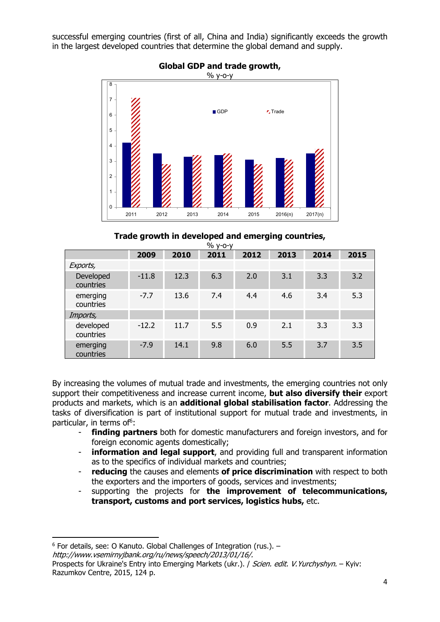successful emerging countries (first of all, China and India) significantly exceeds the growth in the largest developed countries that determine the global demand and supply.



### **Global GDP and trade growth,**

### **Trade growth in developed and emerging countries,**

| $%$ $V$ -0- $V$        |         |      |      |      |      |      |      |
|------------------------|---------|------|------|------|------|------|------|
|                        | 2009    | 2010 | 2011 | 2012 | 2013 | 2014 | 2015 |
| Exports,               |         |      |      |      |      |      |      |
| Developed<br>countries | $-11.8$ | 12.3 | 6.3  | 2.0  | 3.1  | 3.3  | 3.2  |
| emerging<br>countries  | $-7.7$  | 13.6 | 7.4  | 4.4  | 4.6  | 3.4  | 5.3  |
| Imports,               |         |      |      |      |      |      |      |
| developed<br>countries | $-12.2$ | 11.7 | 5.5  | 0.9  | 2.1  | 3.3  | 3.3  |
| emerging<br>countries  | $-7.9$  | 14.1 | 9.8  | 6.0  | 5.5  | 3.7  | 3.5  |

By increasing the volumes of mutual trade and investments, the emerging countries not only support their competitiveness and increase current income, **but also diversify their** export products and markets, which is an **additional global stabilisation factor**. Addressing the tasks of diversification is part of institutional support for mutual trade and investments, in particular, in terms of<sup>6</sup>:

- **finding partners** both for domestic manufacturers and foreign investors, and for foreign economic agents domestically;
- information and legal support, and providing full and transparent information as to the specifics of individual markets and countries;
- **reducing** the causes and elements **of price discrimination** with respect to both the exporters and the importers of goods, services and investments;
- supporting the projects for **the improvement of telecommunications, transport, customs and port services, logistics hubs,** etc.

<sup>6</sup> For details, see: O Kanuto. Global Challenges of Integration (rus.). – http://www.vsemirnyjbank.org/ru/news/speech/2013/01/16/.

Prospects for Ukraine's Entry into Emerging Markets (ukr.). *| Scien. edit. V. Yurchyshyn.* – Kyiv: Razumkov Centre, 2015, 124 p.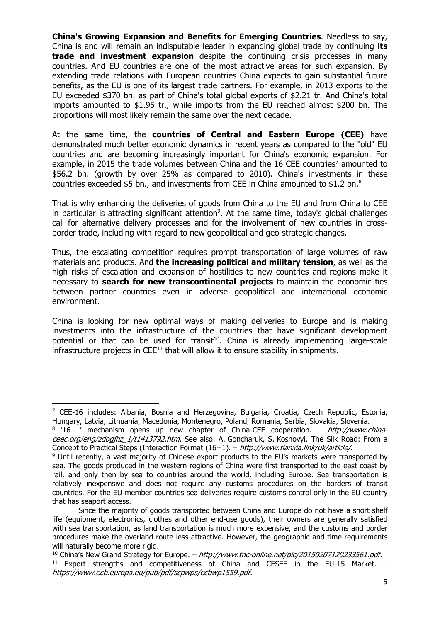**China's Growing Expansion and Benefits for Emerging Countries**. Needless to say, China is and will remain an indisputable leader in expanding global trade by continuing **its trade and investment expansion** despite the continuing crisis processes in many countries. And EU countries are one of the most attractive areas for such expansion. By extending trade relations with European countries China expects to gain substantial future benefits, as the EU is one of its largest trade partners. For example, in 2013 exports to the EU exceeded \$370 bn. as part of China's total global exports of \$2.21 tr. And China's total imports amounted to \$1.95 tr., while imports from the EU reached almost \$200 bn. The proportions will most likely remain the same over the next decade.

At the same time, the **countries of Central and Eastern Europe (CEE)** have demonstrated much better economic dynamics in recent years as compared to the "old" EU countries and are becoming increasingly important for China's economic expansion. For example, in 2015 the trade volumes between China and the 16 CEE countries<sup>7</sup> amounted to \$56.2 bn. (growth by over 25% as compared to 2010). China's investments in these countries exceeded \$5 bn., and investments from CEE in China amounted to \$1.2 bn.8

That is why enhancing the deliveries of goods from China to the EU and from China to CEE in particular is attracting significant attention<sup>9</sup>. At the same time, today's global challenges call for alternative delivery processes and for the involvement of new countries in crossborder trade, including with regard to new geopolitical and geo-strategic changes.

Thus, the escalating competition requires prompt transportation of large volumes of raw materials and products. And **the increasing political and military tension**, as well as the high risks of escalation and expansion of hostilities to new countries and regions make it necessary to **search for new transcontinental projects** to maintain the economic ties between partner countries even in adverse geopolitical and international economic environment.

China is looking for new optimal ways of making deliveries to Europe and is making investments into the infrastructure of the countries that have significant development potential or that can be used for transit<sup>10</sup>. China is already implementing large-scale infrastructure projects in  $\mathsf{CEE}^{11}$  that will allow it to ensure stability in shipments.

  $<sup>7</sup>$  CEE-16 includes: Albania, Bosnia and Herzegovina, Bulgaria, Croatia, Czech Republic, Estonia,</sup> Hungary, Latvia, Lithuania, Macedonia, Montenegro, Poland, Romania, Serbia, Slovakia, Slovenia.

 $8$  '16+1' mechanism opens up new chapter of China-CEE cooperation. – http://www.chinaceec.org/eng/zdogihz 1/t1413792.htm. See also: A. Goncharuk, S. Koshovyi. The Silk Road: From a Concept to Practical Steps (Interaction Format  $(16+1)$ . – *http://www.tianxia.link/uk/article/*.<br><sup>9</sup> Until recently, a vast majority of Chinese export products to the EU's markets were transported by

sea. The goods produced in the western regions of China were first transported to the east coast by rail, and only then by sea to countries around the world, including Europe. Sea transportation is relatively inexpensive and does not require any customs procedures on the borders of transit countries. For the EU member countries sea deliveries require customs control only in the EU country that has seaport access.

Since the majority of goods transported between China and Europe do not have a short shelf life (equipment, electronics, clothes and other end-use goods), their owners are generally satisfied with sea transportation, as land transportation is much more expensive, and the customs and border procedures make the overland route less attractive. However, the geographic and time requirements will naturally become more rigid.

<sup>&</sup>lt;sup>10</sup> China's New Grand Strategy for Europe. – *http://www.tnc-online.net/pic/20150207120233561.pdf.*  $^{11}$  Export strengths and competitiveness of China and CESEE in the EU-15 Market. – https://www.ecb.europa.eu/pub/pdf/scpwps/ecbwp1559.pdf.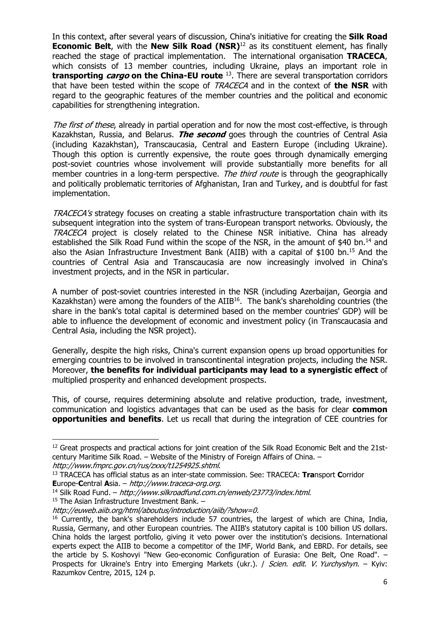In this context, after several years of discussion, China's initiative for creating the **Silk Road Economic Belt**, with the **New Silk Road (NSR)**<sup>12</sup> as its constituent element, has finally reached the stage of practical implementation. The international organisation **TRACECA**, which consists of 13 member countries, including Ukraine, plays an important role in **transporting cargo on the China-EU route** 13. There are several transportation corridors that have been tested within the scope of TRACECA and in the context of **the NSR** with regard to the geographic features of the member countries and the political and economic capabilities for strengthening integration.

The first of these, already in partial operation and for now the most cost-effective, is through Kazakhstan, Russia, and Belarus. **The second** goes through the countries of Central Asia (including Kazakhstan), Transcaucasia, Central and Eastern Europe (including Ukraine). Though this option is currently expensive, the route goes through dynamically emerging post-soviet countries whose involvement will provide substantially more benefits for all member countries in a long-term perspective. The third route is through the geographically and politically problematic territories of Afghanistan, Iran and Turkey, and is doubtful for fast implementation.

TRACECA's strategy focuses on creating a stable infrastructure transportation chain with its subsequent integration into the system of trans-European transport networks. Obviously, the TRACECA project is closely related to the Chinese NSR initiative. China has already established the Silk Road Fund within the scope of the NSR, in the amount of \$40 bn.<sup>14</sup> and also the Asian Infrastructure Investment Bank (AIIB) with a capital of \$100 bn.15 And the countries of Central Asia and Transcaucasia are now increasingly involved in China's investment projects, and in the NSR in particular.

A number of post-soviet countries interested in the NSR (including Azerbaijan, Georgia and Kazakhstan) were among the founders of the AIIB<sup>16</sup>. The bank's shareholding countries (the share in the bank's total capital is determined based on the member countries' GDP) will be able to influence the development of economic and investment policy (in Transcaucasia and Central Asia, including the NSR project).

Generally, despite the high risks, China's current expansion opens up broad opportunities for emerging countries to be involved in transcontinental integration projects, including the NSR. Moreover, **the benefits for individual participants may lead to a synergistic effect** of multiplied prosperity and enhanced development prospects.

This, of course, requires determining absolute and relative production, trade, investment, communication and logistics advantages that can be used as the basis for clear **common opportunities and benefits**. Let us recall that during the integration of CEE countries for

<sup>&</sup>lt;sup>12</sup> Great prospects and practical actions for joint creation of the Silk Road Economic Belt and the 21stcentury Maritime Silk Road. – Website of the Ministry of Foreign Affairs of China. –

http://www.fmprc.gov.cn/rus/zxxx/t1254925.shtml.<br><sup>13</sup> TRACECA has official status as an inter-state commission. See: TRACECA: **Tra**nsport **C**orridor **E**urope-**C**entral **A**sia. – *http://www.traceca-org.org.*<br><sup>14</sup> Silk Road Fund. – *http://www.silkroadfund.com.cn/enweb/23773/index.html.* 15 The Asian Infrastructure Investment Bank. –

http://euweb.aiib.org/html/aboutus/introduction/aiib/?show=0.

<sup>&</sup>lt;sup>16</sup> Currently, the bank's shareholders include 57 countries, the largest of which are China, India, Russia, Germany, and other European countries. The AIIB's statutory capital is 100 billion US dollars. China holds the largest portfolio, giving it veto power over the institution's decisions. International experts expect the AIIB to become a competitor of the IMF, World Bank, and EBRD. For details, see the article by S. Koshovyi "New Geo-economic Configuration of Eurasia: One Belt, One Road". – Prospects for Ukraine's Entry into Emerging Markets (ukr.). / Scien. edit. V. Yurchyshyn. – Kyiv: Razumkov Centre, 2015, 124 p.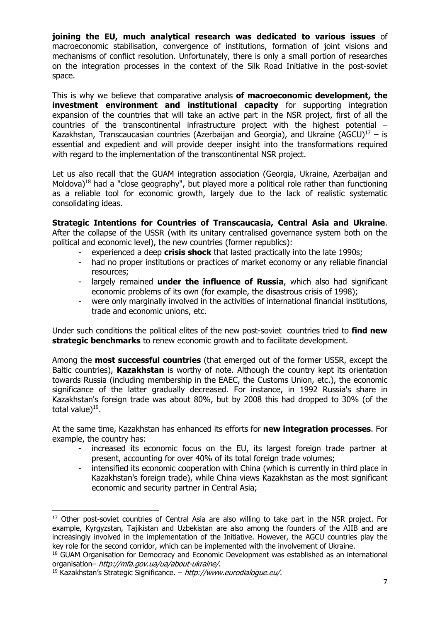**joining the EU, much analytical research was dedicated to various issues** of macroeconomic stabilisation, convergence of institutions, formation of joint visions and mechanisms of conflict resolution. Unfortunately, there is only a small portion of researches on the integration processes in the context of the Silk Road Initiative in the post-soviet space.

This is why we believe that comparative analysis **of macroeconomic development, the investment environment and institutional capacity** for supporting integration expansion of the countries that will take an active part in the NSR project, first of all the countries of the transcontinental infrastructure project with the highest potential – Kazakhstan, Transcaucasian countries (Azerbaijan and Georgia), and Ukraine (AGCU)<sup>17</sup> – is essential and expedient and will provide deeper insight into the transformations required with regard to the implementation of the transcontinental NSR project.

Let us also recall that the GUAM integration association (Georgia, Ukraine, Azerbaijan and Moldova)<sup>18</sup> had a "close geography", but played more a political role rather than functioning as a reliable tool for economic growth, largely due to the lack of realistic systematic consolidating ideas.

**Strategic Intentions for Countries of Transcaucasia, Central Asia and Ukraine**. After the collapse of the USSR (with its unitary centralised governance system both on the political and economic level), the new countries (former republics):

- experienced a deep **crisis shock** that lasted practically into the late 1990s;
- had no proper institutions or practices of market economy or any reliable financial resources;
- largely remained **under the influence of Russia**, which also had significant economic problems of its own (for example, the disastrous crisis of 1998);
- were only marginally involved in the activities of international financial institutions, trade and economic unions, etc.

Under such conditions the political elites of the new post-soviet countries tried to **find new strategic benchmarks** to renew economic growth and to facilitate development.

Among the **most successful countries** (that emerged out of the former USSR, except the Baltic countries), **Kazakhstan** is worthy of note. Although the country kept its orientation towards Russia (including membership in the EAEC, the Customs Union, etc.), the economic significance of the latter gradually decreased. For instance, in 1992 Russia's share in Kazakhstan's foreign trade was about 80%, but by 2008 this had dropped to 30% (of the total value $)^{19}$ .

At the same time, Kazakhstan has enhanced its efforts for **new integration processes**. For example, the country has:

- increased its economic focus on the EU, its largest foreign trade partner at present, accounting for over 40% of its total foreign trade volumes;
- intensified its economic cooperation with China (which is currently in third place in Kazakhstan's foreign trade), while China views Kazakhstan as the most significant economic and security partner in Central Asia;

 <sup>17</sup> Other post-soviet countries of Central Asia are also willing to take part in the NSR project. For example, Kyrgyzstan, Tajikistan and Uzbekistan are also among the founders of the AIIB and are increasingly involved in the implementation of the Initiative. However, the AGCU countries play the key role for the second corridor, which can be implemented with the involvement of Ukraine.

<sup>&</sup>lt;sup>18</sup> GUAM Organisation for Democracy and Economic Development was established as an international organisation– http://mfa.gov.ua/ua/about-ukraine/.<br><sup>19</sup> Kazakhstan's Strategic Significance. – http://www.eurodialogue.eu/.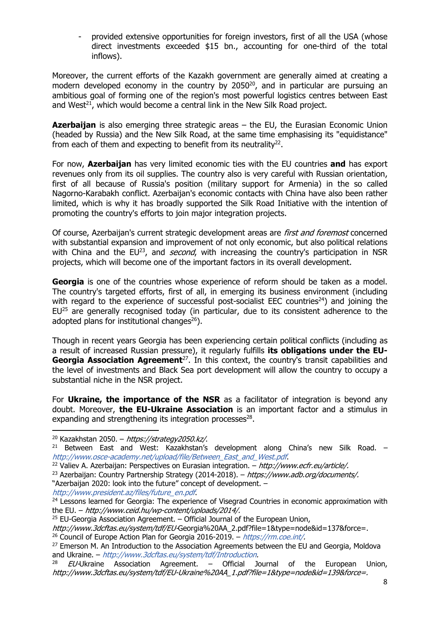provided extensive opportunities for foreign investors, first of all the USA (whose direct investments exceeded \$15 bn., accounting for one-third of the total inflows).

Moreover, the current efforts of the Kazakh government are generally aimed at creating a modern developed economy in the country by  $2050^{20}$ , and in particular are pursuing an ambitious goal of forming one of the region's most powerful logistics centres between East and West $^{21}$ , which would become a central link in the New Silk Road project.

**Azerbaijan** is also emerging three strategic areas – the EU, the Eurasian Economic Union (headed by Russia) and the New Silk Road, at the same time emphasising its "equidistance" from each of them and expecting to benefit from its neutrality $^{22}$ .

For now, **Azerbaijan** has very limited economic ties with the EU countries **and** has export revenues only from its oil supplies. The country also is very careful with Russian orientation, first of all because of Russia's position (military support for Armenia) in the so called Nagorno-Karabakh conflict. Azerbaijan's economic contacts with China have also been rather limited, which is why it has broadly supported the Silk Road Initiative with the intention of promoting the country's efforts to join major integration projects.

Of course, Azerbaijan's current strategic development areas are *first and foremost* concerned with substantial expansion and improvement of not only economic, but also political relations with China and the  $EU^{23}$ , and *second*, with increasing the country's participation in NSR projects, which will become one of the important factors in its overall development.

**Georgia** is one of the countries whose experience of reform should be taken as a model. The country's targeted efforts, first of all, in emerging its business environment (including with regard to the experience of successful post-socialist EEC countries<sup>24</sup>) and joining the  $EU^{25}$  are generally recognised today (in particular, due to its consistent adherence to the adopted plans for institutional changes $^{26}$ ).

Though in recent years Georgia has been experiencing certain political conflicts (including as a result of increased Russian pressure), it regularly fulfills **its obligations under the EU-Georgia Association Agreement**<sup>27</sup>. In this context, the country's transit capabilities and the level of investments and Black Sea port development will allow the country to occupy a substantial niche in the NSR project.

For **Ukraine, the importance of the NSR** as a facilitator of integration is beyond any doubt. Moreover, **the EU-Ukraine Association** is an important factor and a stimulus in expanding and strengthening its integration processes $28$ .

http://www.president.az/files/future\_en.pdf.

<sup>&</sup>lt;sup>20</sup> Kazakhstan 2050. – *https://strategy2050.kz/*.<br><sup>21</sup> Between East and West: Kazakhstan's development along China's new Silk Road. – http://www.osce-academy.net/upload/file/Between\_East\_and\_West.pdf.

<sup>&</sup>lt;sup>22</sup> Valiev A. Azerbaijan: Perspectives on Eurasian integration. – http://www.ecfr.eu/article/.

<sup>&</sup>lt;sup>23</sup> Azerbaijan: Country Partnership Strategy (2014-2018). – https://www.adb.org/documents/. "Azerbaijan 2020: look into the future" concept of development. –

<sup>&</sup>lt;sup>24</sup> Lessons learned for Georgia: The experience of Visegrad Countries in economic approximation with the EU. – http://www.ceid.hu/wp-content/uploads/2014/.

 $25$  EU-Georgia Association Agreement. – Official Journal of the European Union,

http://www.3dcftas.eu/system/tdf/EU-Georgia%20AA\_2.pdf?file=1&type=node&id=137&force=.

<sup>&</sup>lt;sup>26</sup> Council of Europe Action Plan for Georgia 2016-2019. – https://rm.coe.int/.

<sup>&</sup>lt;sup>27</sup> Emerson M. An Introduction to the Association Agreements between the EU and Georgia, Moldova and Ukraine. – http://www.3dcftas.eu/system/tdf/Introduction.

 $E U$ -Ukraine Association Agreement. – Official Journal of the European Union, http://www.3dcftas.eu/system/tdf/EU-Ukraine%20AA\_1.pdf?file=1&type=node&id=139&force=.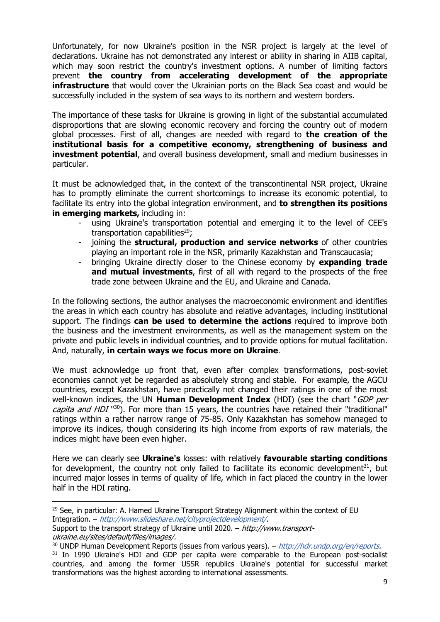Unfortunately, for now Ukraine's position in the NSR project is largely at the level of declarations. Ukraine has not demonstrated any interest or ability in sharing in AIIB capital, which may soon restrict the country's investment options. A number of limiting factors prevent **the country from accelerating development of the appropriate infrastructure** that would cover the Ukrainian ports on the Black Sea coast and would be successfully included in the system of sea ways to its northern and western borders.

The importance of these tasks for Ukraine is growing in light of the substantial accumulated disproportions that are slowing economic recovery and forcing the country out of modern global processes. First of all, changes are needed with regard to **the creation of the institutional basis for a competitive economy, strengthening of business and investment potential**, and overall business development, small and medium businesses in particular.

It must be acknowledged that, in the context of the transcontinental NSR project, Ukraine has to promptly eliminate the current shortcomings to increase its economic potential, to facilitate its entry into the global integration environment, and **to strengthen its positions in emerging markets, including in:** 

- using Ukraine's transportation potential and emerging it to the level of CEE's transportation capabilities $29$ :
- joining the **structural, production and service networks** of other countries playing an important role in the NSR, primarily Kazakhstan and Transcaucasia;
- bringing Ukraine directly closer to the Chinese economy by **expanding trade and mutual investments**, first of all with regard to the prospects of the free trade zone between Ukraine and the EU, and Ukraine and Canada.

In the following sections, the author analyses the macroeconomic environment and identifies the areas in which each country has absolute and relative advantages, including institutional support. The findings **can be used to determine the actions** required to improve both the business and the investment environments, as well as the management system on the private and public levels in individual countries, and to provide options for mutual facilitation. And, naturally, **in certain ways we focus more on Ukraine**.

We must acknowledge up front that, even after complex transformations, post-soviet economies cannot yet be regarded as absolutely strong and stable. For example, the AGCU countries, except Kazakhstan, have practically not changed their ratings in one of the most well-known indices, the UN **Human Development Index** (HDI) (see the chart "GDP per capita and HDI<sup>"30</sup>). For more than 15 years, the countries have retained their "traditional" ratings within a rather narrow range of 75-85. Only Kazakhstan has somehow managed to improve its indices, though considering its high income from exports of raw materials, the indices might have been even higher.

Here we can clearly see **Ukraine's** losses: with relatively **favourable starting conditions** for development, the country not only failed to facilitate its economic development<sup>31</sup>, but incurred major losses in terms of quality of life, which in fact placed the country in the lower half in the HDI rating.

  $29$  See, in particular: A. Hamed Ukraine Transport Strategy Alignment within the context of EU Integration. – http://www.slideshare.net/cityprojectdevelopment/.

Support to the transport strategy of Ukraine until 2020. – http://www.transportukraine.eu/sites/default/files/images/.

 $30$  UNDP Human Development Reports (issues from various years). – http://hdr.undp.org/en/reports.

<sup>&</sup>lt;sup>31</sup> In 1990 Ukraine's HDI and GDP per capita were comparable to the European post-socialist countries, and among the former USSR republics Ukraine's potential for successful market transformations was the highest according to international assessments.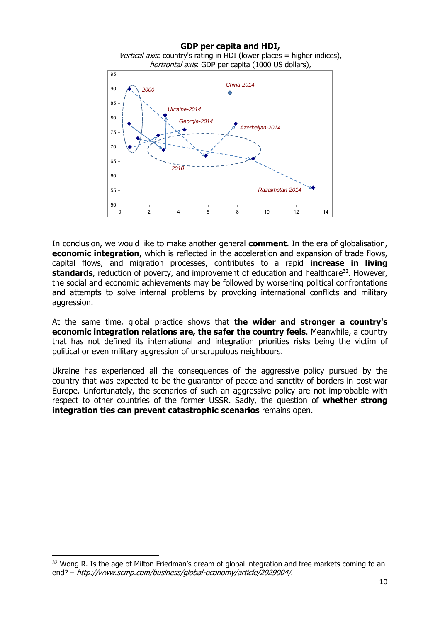**GDP per capita and HDI,**  Vertical axis: country's rating in HDI (lower places = higher indices), horizontal axis: GDP per capita (1000 US dollars), 95 *China-2014*   $90$ *2000* Ö 85 *Ukraine-2014* 80 *Georgia-2014 Azerbaijan-2014*  75 70  $65$ *2010* 60 55 *Razakhstan-2014*

In conclusion, we would like to make another general **comment**. In the era of globalisation, **economic integration**, which is reflected in the acceleration and expansion of trade flows, capital flows, and migration processes, contributes to a rapid **increase in living standards**, reduction of poverty, and improvement of education and healthcare<sup>32</sup>. However, the social and economic achievements may be followed by worsening political confrontations and attempts to solve internal problems by provoking international conflicts and military aggression.

0 2 4 6 8 10 12 14

50

At the same time, global practice shows that **the wider and stronger a country's economic integration relations are, the safer the country feels**. Meanwhile, a country that has not defined its international and integration priorities risks being the victim of political or even military aggression of unscrupulous neighbours.

Ukraine has experienced all the consequences of the aggressive policy pursued by the country that was expected to be the guarantor of peace and sanctity of borders in post-war Europe. Unfortunately, the scenarios of such an aggressive policy are not improbable with respect to other countries of the former USSR. Sadly, the question of **whether strong integration ties can prevent catastrophic scenarios** remains open.

 $32$  Wong R. Is the age of Milton Friedman's dream of global integration and free markets coming to an end? – http://www.scmp.com/business/global-economy/article/2029004/.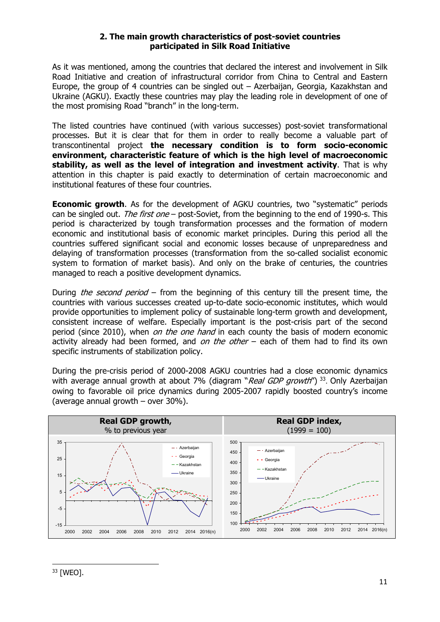#### **2. The main growth characteristics of post-soviet countries participated in Silk Road Initiative**

As it was mentioned, among the countries that declared the interest and involvement in Silk Road Initiative and creation of infrastructural corridor from China to Central and Eastern Europe, the group of 4 countries can be singled out – Azerbaijan, Georgia, Kazakhstan and Ukraine (AGKU). Exactly these countries may play the leading role in development of one of the most promising Road "branch" in the long-term.

The listed countries have continued (with various successes) post-soviet transformational processes. But it is clear that for them in order to really become a valuable part of transcontinental project **the necessary condition is to form socio-economic environment, characteristic feature of which is the high level of macroeconomic stability, as well as the level of integration and investment activity**. That is why attention in this chapter is paid exactly to determination of certain macroeconomic and institutional features of these four countries.

**Economic growth.** As for the development of AGKU countries, two "systematic" periods can be singled out. The first one – post-Soviet, from the beginning to the end of 1990-s. This period is characterized by tough transformation processes and the formation of modern economic and institutional basis of economic market principles. During this period all the countries suffered significant social and economic losses because of unpreparedness and delaying of transformation processes (transformation from the so-called socialist economic system to formation of market basis). And only on the brake of centuries, the countries managed to reach a positive development dynamics.

During *the second period* – from the beginning of this century till the present time, the countries with various successes created up-to-date socio-economic institutes, which would provide opportunities to implement policy of sustainable long-term growth and development, consistent increase of welfare. Especially important is the post-crisis part of the second period (since 2010), when *on the one hand* in each county the basis of modern economic activity already had been formed, and on the other  $-$  each of them had to find its own specific instruments of stabilization policy.

During the pre-crisis period of 2000-2008 AGKU countries had a close economic dynamics with average annual growth at about 7% (diagram "Real GDP growth")  $33$ . Only Azerbaijan owing to favorable oil price dynamics during 2005-2007 rapidly boosted country's income (average annual growth – over 30%).

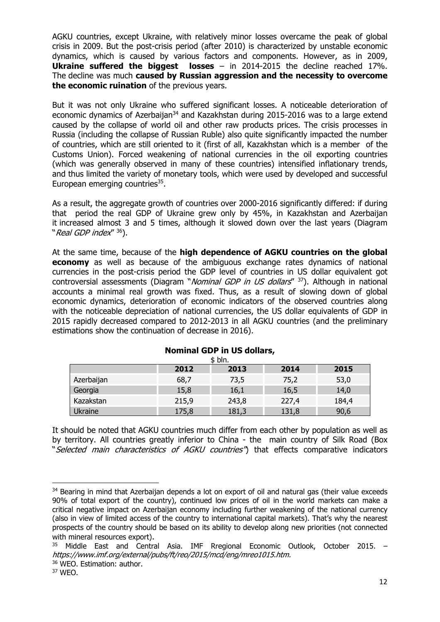AGKU countries, except Ukraine, with relatively minor losses overcame the peak of global crisis in 2009. But the post-crisis period (after 2010) is characterized by unstable economic dynamics, which is caused by various factors and components. However, as in 2009, **Ukraine suffered the biggest losses** – in 2014-2015 the decline reached 17%. The decline was much **caused by Russian aggression and the necessity to overcome the economic ruination** of the previous years.

But it was not only Ukraine who suffered significant losses. A noticeable deterioration of economic dynamics of Azerbaijan<sup>34</sup> and Kazakhstan during 2015-2016 was to a large extend caused by the collapse of world oil and other raw products prices. The crisis processes in Russia (including the collapse of Russian Ruble) also quite significantly impacted the number of countries, which are still oriented to it (first of all, Kazakhstan which is a member of the Customs Union). Forced weakening of national currencies in the oil exporting countries (which was generally observed in many of these countries) intensified inflationary trends, and thus limited the variety of monetary tools, which were used by developed and successful European emerging countries $35$ .

As a result, the aggregate growth of countries over 2000-2016 significantly differed: if during that period the real GDP of Ukraine grew only by 45%, in Kazakhstan and Azerbaijan it increased almost 3 and 5 times, although it slowed down over the last years (Diagram "Real GDP index<sup>" 36</sup>).

At the same time, because of the **high dependence of AGKU countries on the global economy** as well as because of the ambiguous exchange rates dynamics of national currencies in the post-crisis period the GDP level of countries in US dollar equivalent got controversial assessments (Diagram "*Nominal GDP in US dollars*" <sup>37</sup>). Although in national accounts a minimal real growth was fixed. Thus, as a result of slowing down of global economic dynamics, deterioration of economic indicators of the observed countries along with the noticeable depreciation of national currencies, the US dollar equivalents of GDP in 2015 rapidly decreased compared to 2012-2013 in all AGKU countries (and the preliminary estimations show the continuation of decrease in 2016).

| \$ bln.    |       |       |       |       |  |
|------------|-------|-------|-------|-------|--|
|            | 2012  | 2013  | 2014  | 2015  |  |
| Azerbaijan | 68,7  | 73,5  | 75,2  | 53,0  |  |
| Georgia    | 15,8  | 16,1  | 16,5  | 14,0  |  |
| Kazakstan  | 215,9 | 243,8 | 227,4 | 184,4 |  |
| Ukraine    | 175,8 | 181,3 | 131,8 | 90,6  |  |

### **Nominal GDP in US dollars,**

It should be noted that AGKU countries much differ from each other by population as well as by territory. All countries greatly inferior to China - the main country of Silk Road (Box "Selected main characteristics of AGKU countries") that effects comparative indicators

<sup>&</sup>lt;sup>34</sup> Bearing in mind that Azerbaijan depends a lot on export of oil and natural gas (their value exceeds 90% of total export of the country), continued low prices of oil in the world markets can make a critical negative impact on Azerbaijan economy including further weakening of the national currency (also in view of limited access of the country to international capital markets). That's why the nearest prospects of the country should be based on its ability to develop along new priorities (not connected with mineral resources export).

<sup>35</sup> Middle East and Central Asia. IMF Rregional Economic Outlook, October 2015. – https://www.imf.org/external/pubs/ft/reo/2015/mcd/eng/mreo1015.htm.

<sup>36</sup> WEO. Estimation: author.

<sup>37</sup> WEO.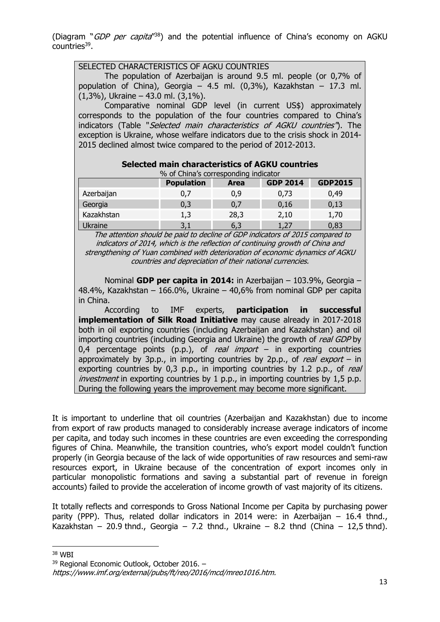(Diagram " $GDP$  per capita<sup> $138$ </sup>) and the potential influence of China's economy on AGKU countries39.

population of China), Georgia – 4.5 ml.  $(0,3\%)$ , Kazakhstan – 17.3 ml.

corresponds to the population of the four countries compared to China's indicators (Table "Selected main characteristics of AGKU countries"). The exception is Ukraine, whose welfare indicators due to the crisis shock in 2014-

2015 declined almost twice compared to the period of 2012-2013.

The population of Azerbaijan is around 9.5 ml. people (or 0,7% of

Comparative nominal GDP level (in current US\$) approximately

SELECTED CHARACTERISTICS OF AGKU COUNTRIES

(1,3%), Ukraine – 43.0 ml. (3,1%).

| Selected main characteristics of AGKU countries<br>% of China's corresponding indicator |     |      |      |      |  |  |
|-----------------------------------------------------------------------------------------|-----|------|------|------|--|--|
| <b>Population</b><br><b>GDP2015</b><br><b>GDP 2014</b><br><b>Area</b>                   |     |      |      |      |  |  |
| Azerbaijan                                                                              | 0.7 | 0,9  | 0,73 | 0,49 |  |  |
| Georgia                                                                                 | 0,3 | 0,7  | 0,16 | 0,13 |  |  |
| Kazakhstan                                                                              | 1,3 | 28,3 | 2,10 | 1,70 |  |  |
| <b>Ukraine</b>                                                                          | 3,1 | 6,3  | 1,27 | 0,83 |  |  |

 The attention should be paid to decline of GDP indicators of 2015 compared to indicators of 2014, which is the reflection of continuing growth of China and strengthening of Yuan combined with deterioration of economic dynamics of AGKU countries and depreciation of their national currencies.

 Nominal **GDP per capita in 2014:** in Azerbaijan – 103.9%, Georgia – 48.4%, Kazakhstan – 166.0%, Ukraine – 40,6% from nominal GDP per capita in China.

 According to IMF experts, **participation in successful implementation of Silk Road Initiative** may cause already in 2017-2018 both in oil exporting countries (including Azerbaijan and Kazakhstan) and oil importing countries (including Georgia and Ukraine) the growth of real GDP by 0,4 percentage points (p.p.), of real import – in exporting countries approximately by 3p.p., in importing countries by 2p.p., of real export – in exporting countries by  $0.3$  p.p., in importing countries by 1.2 p.p., of real investment in exporting countries by 1 p.p., in importing countries by 1,5 p.p. During the following years the improvement may become more significant.

It is important to underline that oil countries (Azerbaijan and Kazakhstan) due to income from export of raw products managed to considerably increase average indicators of income per capita, and today such incomes in these countries are even exceeding the corresponding figures of China. Meanwhile, the transition countries, who's export model couldn't function properly (in Georgia because of the lack of wide opportunities of raw resources and semi-raw resources export, in Ukraine because of the concentration of export incomes only in particular monopolistic formations and saving a substantial part of revenue in foreign accounts) failed to provide the acceleration of income growth of vast majority of its citizens.

It totally reflects and corresponds to Gross National Income per Capita by purchasing power parity (PPP). Thus, related dollar indicators in 2014 were: in Azerbaijan – 16.4 thnd., Kazakhstan – 20.9 thnd., Georgia – 7.2 thnd., Ukraine – 8.2 thnd (China – 12,5 thnd).

<sup>38</sup> WBI

<sup>39</sup> Regional Economic Outlook, October 2016. –

https://www.imf.org/external/pubs/ft/reo/2016/mcd/mreo1016.htm.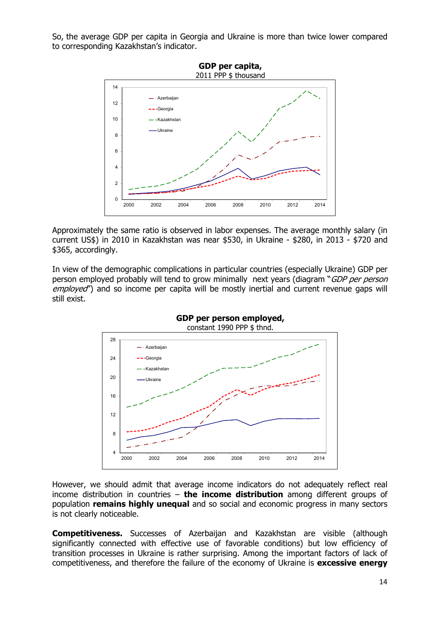So, the average GDP per capita in Georgia and Ukraine is more than twice lower compared to corresponding Kazakhstan's indicator.



Approximately the same ratio is observed in labor expenses. The average monthly salary (in current US\$) in 2010 in Kazakhstan was near \$530, in Ukraine - \$280, in 2013 - \$720 and \$365, accordingly.

In view of the demographic complications in particular countries (especially Ukraine) GDP per person employed probably will tend to grow minimally next years (diagram "GDP per person employed") and so income per capita will be mostly inertial and current revenue gaps will still exist.



However, we should admit that average income indicators do not adequately reflect real income distribution in countries – **the income distribution** among different groups of population **remains highly unequal** and so social and economic progress in many sectors is not clearly noticeable.

**Competitiveness.** Successes of Azerbaijan and Kazakhstan are visible (although significantly connected with effective use of favorable conditions) but low efficiency of transition processes in Ukraine is rather surprising. Among the important factors of lack of competitiveness, and therefore the failure of the economy of Ukraine is **excessive energy**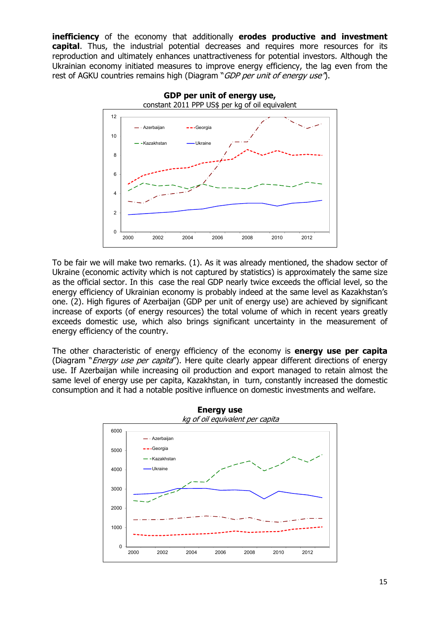**inefficiency** of the economy that additionally **erodes productive and investment capital**. Thus, the industrial potential decreases and requires more resources for its reproduction and ultimately enhances unattractiveness for potential investors. Although the Ukrainian economy initiated measures to improve energy efficiency, the lag even from the rest of AGKU countries remains high (Diagram "GDP per unit of energy use").



To be fair we will make two remarks. (1). As it was already mentioned, the shadow sector of Ukraine (economic activity which is not captured by statistics) is approximately the same size as the official sector. In this case the real GDP nearly twice exceeds the official level, so the energy efficiency of Ukrainian economy is probably indeed at the same level as Kazakhstan's one. (2). High figures of Azerbaijan (GDP per unit of energy use) are achieved by significant increase of exports (of energy resources) the total volume of which in recent years greatly exceeds domestic use, which also brings significant uncertainty in the measurement of energy efficiency of the country.

The other characteristic of energy efficiency of the economy is **energy use per capita** (Diagram "*Energy use per capita*"). Here quite clearly appear different directions of energy use. If Azerbaijan while increasing oil production and export managed to retain almost the same level of energy use per capita, Kazakhstan, in turn, constantly increased the domestic consumption and it had a notable positive influence on domestic investments and welfare.

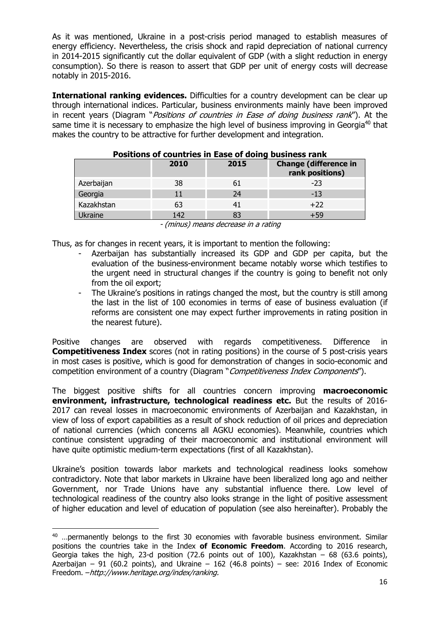As it was mentioned, Ukraine in a post-crisis period managed to establish measures of energy efficiency. Nevertheless, the crisis shock and rapid depreciation of national currency in 2014-2015 significantly cut the dollar equivalent of GDP (with a slight reduction in energy consumption). So there is reason to assert that GDP per unit of energy costs will decrease notably in 2015-2016.

**International ranking evidences.** Difficulties for a country development can be clear up through international indices. Particular, business environments mainly have been improved in recent years (Diagram "Positions of countries in Ease of doing business rank"). At the same time it is necessary to emphasize the high level of business improving in Georgia<sup>40</sup> that makes the country to be attractive for further development and integration.

| POSItions of countries in Ease of doing business rank |      |      |                                                 |  |  |
|-------------------------------------------------------|------|------|-------------------------------------------------|--|--|
|                                                       | 2010 | 2015 | <b>Change (difference in</b><br>rank positions) |  |  |
| Azerbaijan                                            | 38   | 61   | $-23$                                           |  |  |
| Georgia                                               | 11   | 24   | -13                                             |  |  |
| Kazakhstan                                            | 63   | 41   | $+22$                                           |  |  |
| <b>Ukraine</b>                                        | 142  |      | +59                                             |  |  |

## **Positions of countries in Ease of doing business rank**

- (minus) means decrease in a rating

Thus, as for changes in recent years, it is important to mention the following:

- Azerbaijan has substantially increased its GDP and GDP per capita, but the evaluation of the business-environment became notably worse which testifies to the urgent need in structural changes if the country is going to benefit not only from the oil export;
- The Ukraine's positions in ratings changed the most, but the country is still among the last in the list of 100 economies in terms of ease of business evaluation (if reforms are consistent one may expect further improvements in rating position in the nearest future).

Positive changes are observed with regards competitiveness. Difference in **Competitiveness Index** scores (not in rating positions) in the course of 5 post-crisis years in most cases is positive, which is good for demonstration of changes in socio-economic and competition environment of a country (Diagram "Competitiveness Index Components").

The biggest positive shifts for all countries concern improving **macroeconomic environment, infrastructure, technological readiness etc.** But the results of 2016- 2017 can reveal losses in macroeconomic environments of Azerbaijan and Kazakhstan, in view of loss of export capabilities as a result of shock reduction of oil prices and depreciation of national currencies (which concerns all AGKU economies). Meanwhile, countries which continue consistent upgrading of their macroeconomic and institutional environment will have quite optimistic medium-term expectations (first of all Kazakhstan).

Ukraine's position towards labor markets and technological readiness looks somehow contradictory. Note that labor markets in Ukraine have been liberalized long ago and neither Government, nor Trade Unions have any substantial influence there. Low level of technological readiness of the country also looks strange in the light of positive assessment of higher education and level of education of population (see also hereinafter). Probably the

 $40$  ... permanently belongs to the first 30 economies with favorable business environment. Similar positions the countries take in the Index **of Economic Freedom**. According to 2016 research, Georgia takes the high, 23-d position (72.6 points out of 100), Kazakhstan  $-$  68 (63.6 points), Azerbaijan – 91 (60.2 points), and Ukraine – 162 (46.8 points) – see: 2016 Index of Economic Freedom. –http://www.heritage.org/index/ranking.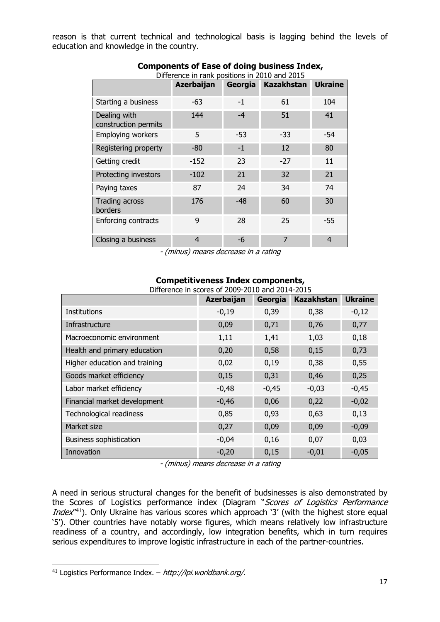reason is that current technical and technological basis is lagging behind the levels of education and knowledge in the country.

| Difference in rank positions in 2010 and 2015 |            |         |                   |                |  |
|-----------------------------------------------|------------|---------|-------------------|----------------|--|
|                                               | Azerbaijan | Georgia | <b>Kazakhstan</b> | <b>Ukraine</b> |  |
| Starting a business                           | -63        | $-1$    | 61                | 104            |  |
| Dealing with<br>construction permits          | 144        | $-4$    | 51                | 41             |  |
| <b>Employing workers</b>                      | 5          | $-53$   | $-33$             | $-54$          |  |
| Registering property                          | -80        | $-1$    | 12                | 80             |  |
| Getting credit                                | $-152$     | 23      | $-27$             | 11             |  |
| Protecting investors                          | $-102$     | 21      | 32                | 21             |  |
| Paying taxes                                  | 87         | 24      | 34                | 74             |  |
| Trading across<br>borders                     | 176        | -48     | 60                | 30             |  |
| <b>Enforcing contracts</b>                    | 9          | 28      | 25                | -55            |  |
| Closing a business                            | 4          | -6      | 7                 | 4              |  |

### **Components of Ease of doing business Index,**

- (minus) means decrease in a rating

| Difference in scores of 2009-2010 and 2014-2015 |            |         |                   |                |  |  |
|-------------------------------------------------|------------|---------|-------------------|----------------|--|--|
|                                                 | Azerbaijan | Georgia | <b>Kazakhstan</b> | <b>Ukraine</b> |  |  |
| <b>Institutions</b>                             | $-0,19$    | 0,39    | 0,38              | $-0,12$        |  |  |
| Infrastructure                                  | 0,09       | 0,71    | 0,76              | 0,77           |  |  |
| Macroeconomic environment                       | 1,11       | 1,41    | 1,03              | 0,18           |  |  |
| Health and primary education                    | 0,20       | 0,58    | 0,15              | 0,73           |  |  |
| Higher education and training                   | 0,02       | 0,19    | 0,38              | 0,55           |  |  |
| Goods market efficiency                         | 0,15       | 0,31    | 0,46              | 0,25           |  |  |
| Labor market efficiency                         | $-0,48$    | $-0,45$ | $-0,03$           | $-0,45$        |  |  |
| Financial market development                    | $-0,46$    | 0,06    | 0,22              | $-0,02$        |  |  |
| Technological readiness                         | 0,85       | 0,93    | 0,63              | 0,13           |  |  |
| Market size                                     | 0,27       | 0,09    | 0,09              | $-0,09$        |  |  |
| <b>Business sophistication</b>                  | $-0,04$    | 0,16    | 0,07              | 0,03           |  |  |
| Innovation                                      | $-0,20$    | 0,15    | $-0,01$           | $-0,05$        |  |  |

### **Competitiveness Index components,**

- (minus) means decrease in a rating

A need in serious structural changes for the benefit of budsinesses is also demonstrated by the Scores of Logistics performance index (Diagram "Scores of Logistics Performance Index<sup>"41</sup>). Only Ukraine has various scores which approach '3' (with the highest store equal '5'). Other countries have notably worse figures, which means relatively low infrastructure readiness of a country, and accordingly, low integration benefits, which in turn requires serious expenditures to improve logistic infrastructure in each of the partner-countries.

<sup>41</sup> Logistics Performance Index. – http://lpi.worldbank.org/.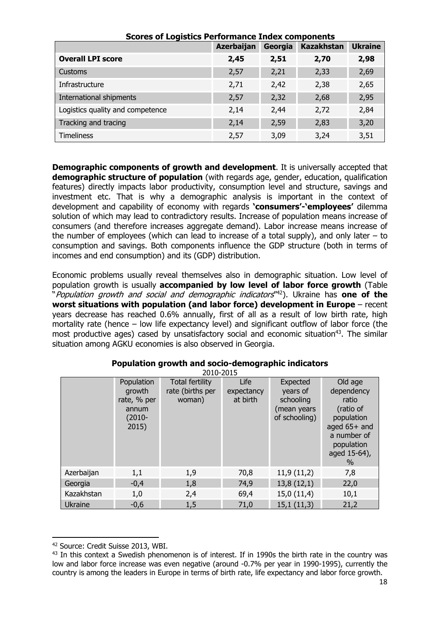| Scores of Logistics Performance Index components |            |         |                   |                |  |  |
|--------------------------------------------------|------------|---------|-------------------|----------------|--|--|
|                                                  | Azerbaijan | Georgia | <b>Kazakhstan</b> | <b>Ukraine</b> |  |  |
| <b>Overall LPI score</b>                         | 2,45       | 2,51    | 2,70              | 2,98           |  |  |
| <b>Customs</b>                                   | 2,57       | 2,21    | 2,33              | 2,69           |  |  |
| Infrastructure                                   | 2,71       | 2,42    | 2,38              | 2,65           |  |  |
| International shipments                          | 2,57       | 2,32    | 2,68              | 2,95           |  |  |
| Logistics quality and competence                 | 2,14       | 2,44    | 2,72              | 2,84           |  |  |
| Tracking and tracing                             | 2,14       | 2,59    | 2,83              | 3,20           |  |  |
| <b>Timeliness</b>                                | 2,57       | 3,09    | 3,24              | 3,51           |  |  |

#### **Scores of Logistics Performance Index components**

**Demographic components of growth and development**. It is universally accepted that **demographic structure of population** (with regards age, gender, education, qualification features) directly impacts labor productivity, consumption level and structure, savings and investment etc. That is why a demographic analysis is important in the context of development and capability of economy with regards **'consumers'-'employees'** dilemma solution of which may lead to contradictory results. Increase of population means increase of consumers (and therefore increases aggregate demand). Labor increase means increase of the number of employees (which can lead to increase of a total supply), and only later  $-$  to consumption and savings. Both components influence the GDP structure (both in terms of incomes and end consumption) and its (GDP) distribution.

Economic problems usually reveal themselves also in demographic situation. Low level of population growth is usually **accompanied by low level of labor force growth** (Table "Population growth and social and demographic indicators"42). Ukraine has **one of the worst situations with population (and labor force) development in Europe** – recent years decrease has reached 0.6% annually, first of all as a result of low birth rate, high mortality rate (hence – low life expectancy level) and significant outflow of labor force (the most productive ages) cased by unsatisfactory social and economic situation<sup>43</sup>. The similar situation among AGKU economies is also observed in Georgia.

| 2010-2015      |                                                                    |                                                      |                                |                                                                   |                                                                                                                                |  |
|----------------|--------------------------------------------------------------------|------------------------------------------------------|--------------------------------|-------------------------------------------------------------------|--------------------------------------------------------------------------------------------------------------------------------|--|
|                | Population<br>growth<br>rate, % per<br>annum<br>$(2010 -$<br>2015) | <b>Total fertility</b><br>rate (births per<br>woman) | Life<br>expectancy<br>at birth | Expected<br>years of<br>schooling<br>(mean years<br>of schooling) | Old age<br>dependency<br>ratio<br>(ratio of<br>population<br>aged 65+ and<br>a number of<br>population<br>aged 15-64),<br>$\%$ |  |
| Azerbaijan     | 1,1                                                                | 1,9                                                  | 70,8                           | 11,9(11,2)                                                        | 7,8                                                                                                                            |  |
| Georgia        | $-0,4$                                                             | 1,8                                                  | 74,9                           | 13,8(12,1)                                                        | 22,0                                                                                                                           |  |
| Kazakhstan     | 1,0                                                                | 2,4                                                  | 69,4                           | 15,0(11,4)                                                        | 10,1                                                                                                                           |  |
| <b>Ukraine</b> | $-0,6$                                                             | 1,5                                                  | 71,0                           | 15,1(11,3)                                                        | 21,2                                                                                                                           |  |

# **Population growth and socio-demographic indicators**

 42 Source: Credit Suisse 2013, WBI.

<sup>&</sup>lt;sup>43</sup> In this context a Swedish phenomenon is of interest. If in 1990s the birth rate in the country was low and labor force increase was even negative (around -0.7% per year in 1990-1995), currently the country is among the leaders in Europe in terms of birth rate, life expectancy and labor force growth.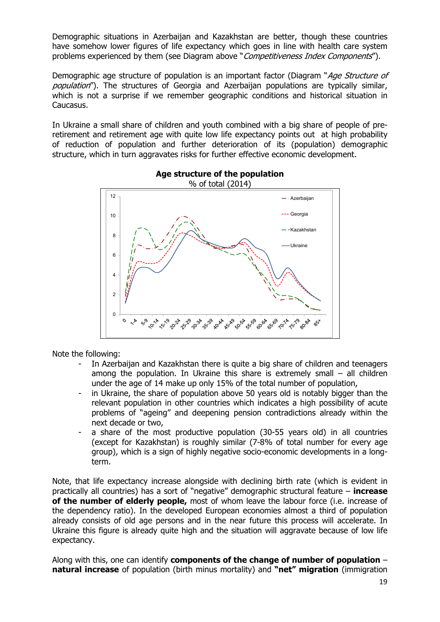Demographic situations in Azerbaijan and Kazakhstan are better, though these countries have somehow lower figures of life expectancy which goes in line with health care system problems experienced by them (see Diagram above "Competitiveness Index Components").

Demographic age structure of population is an important factor (Diagram "Age Structure of population"). The structures of Georgia and Azerbaijan populations are typically similar, which is not a surprise if we remember geographic conditions and historical situation in Caucasus.

In Ukraine a small share of children and youth combined with a big share of people of preretirement and retirement age with quite low life expectancy points out at high probability of reduction of population and further deterioration of its (population) demographic structure, which in turn aggravates risks for further effective economic development.



# **Age structure of the population**

Note the following:

- In Azerbaijan and Kazakhstan there is quite a big share of children and teenagers among the population. In Ukraine this share is extremely small – all children under the age of 14 make up only 15% of the total number of population,
- in Ukraine, the share of population above 50 years old is notably bigger than the relevant population in other countries which indicates a high possibility of acute problems of "ageing" and deepening pension contradictions already within the next decade or two,
- a share of the most productive population (30-55 years old) in all countries (except for Kazakhstan) is roughly similar (7-8% of total number for every age group), which is a sign of highly negative socio-economic developments in a longterm.

Note, that life expectancy increase alongside with declining birth rate (which is evident in practically all countries) has a sort of "negative" demographic structural feature – **increase of the number of elderly people,** most of whom leave the labour force (i.e. increase of the dependency ratio). In the developed European economies almost a third of population already consists of old age persons and in the near future this process will accelerate. In Ukraine this figure is already quite high and the situation will aggravate because of low life expectancy.

Along with this, one can identify **components of the change of number of population** – **natural increase** of population (birth minus mortality) and **"net" migration** (immigration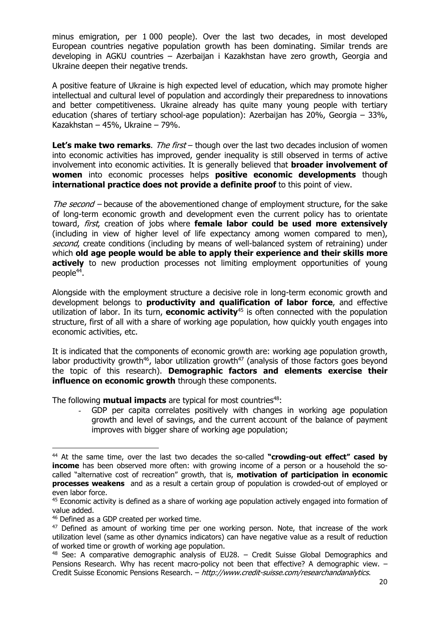minus emigration, per 1 000 people). Over the last two decades, in most developed European countries negative population growth has been dominating. Similar trends are developing in AGKU countries – Azerbaijan і Kazakhstan have zero growth, Georgia and Ukraine deepen their negative trends.

A positive feature of Ukraine is high expected level of education, which may promote higher intellectual and cultural level of population and accordingly their preparedness to innovations and better competitiveness. Ukraine already has quite many young people with tertiary education (shares of tertiary school-age population): Azerbaijan has 20%, Georgia – 33%, Kazakhstan – 45%, Ukraine – 79%.

**Let's make two remarks**. The first – though over the last two decades inclusion of women into economic activities has improved, gender inequality is still observed in terms of active involvement into economic activities. It is generally believed that **broader involvement of women** into economic processes helps **positive economic developments** though **international practice does not provide a definite proof** to this point of view.

The second – because of the abovementioned change of employment structure, for the sake of long-term economic growth and development even the current policy has to orientate toward, first, creation of jobs where **female labor could be used more extensively** (including in view of higher level of life expectancy among women compared to men), second, create conditions (including by means of well-balanced system of retraining) under which **old age people would be able to apply their experience and their skills more actively** to new production processes not limiting employment opportunities of young  $people^{44}$ .

Alongside with the employment structure a decisive role in long-term economic growth and development belongs to **productivity and qualification of labor force**, and effective utilization of labor. In its turn, **economic activity**45 is often connected with the population structure, first of all with a share of working age population, how quickly youth engages into economic activities, etc.

It is indicated that the components of economic growth are: working age population growth, labor productivity growth<sup>46</sup>, labor utilization growth<sup>47</sup> (analysis of those factors goes beyond the topic of this research). **Demographic factors and elements exercise their influence on economic growth** through these components.

The following **mutual impacts** are typical for most countries<sup>48</sup>:

GDP per capita correlates positively with changes in working age population growth and level of savings, and the current account of the balance of payment improves with bigger share of working age population;

<sup>44</sup> At the same time, over the last two decades the so-called **"crowding-out effect" cased by income** has been observed more often: with growing income of a person or a household the socalled "alternative cost of recreation" growth, that is, **motivation of participation in economic processes weakens** and as a result a certain group of population is crowded-out of employed or even labor force.

<sup>&</sup>lt;sup>45</sup> Economic activity is defined as a share of working age population actively engaged into formation of value added.

<sup>46</sup> Defined as a GDP created per worked time.

 $47$  Defined as amount of working time per one working person. Note, that increase of the work utilization level (same as other dynamics indicators) can have negative value as a result of reduction of worked time or growth of working age population.

 $48$  See: A comparative demographic analysis of EU28. – Credit Suisse Global Demographics and Pensions Research. Why has recent macro-policy not been that effective? A demographic view. – Credit Suisse Economic Pensions Research. – http://www.credit-suisse.com/researchandanalytics.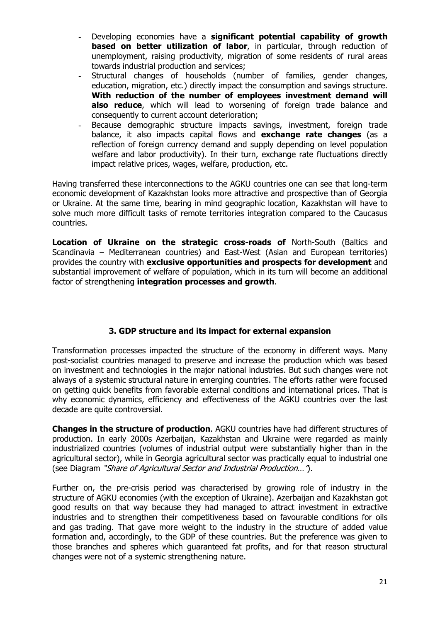- Developing economies have a **significant potential capability of growth based on better utilization of labor**, in particular, through reduction of unemployment, raising productivity, migration of some residents of rural areas towards industrial production and services;
- Structural changes of households (number of families, gender changes, education, migration, etc.) directly impact the consumption and savings structure. **With reduction of the number of employees investment demand will also reduce**, which will lead to worsening of foreign trade balance and consequently to current account deterioration;
- Because demographic structure impacts savings, investment, foreign trade balance, it also impacts capital flows and **exchange rate changes** (as a reflection of foreign currency demand and supply depending on level population welfare and labor productivity). In their turn, exchange rate fluctuations directly impact relative prices, wages, welfare, production, etc.

Having transferred these interconnections to the AGKU countries one can see that long-term economic development of Kazakhstan looks more attractive and prospective than of Georgia or Ukraine. At the same time, bearing in mind geographic location, Kazakhstan will have to solve much more difficult tasks of remote territories integration compared to the Caucasus countries.

**Location of Ukraine on the strategic cross-roads of** North-South (Baltics and Scandinavia – Mediterranean countries) and East-West (Asian and European territories) provides the country with **exclusive opportunities and prospects for development** and substantial improvement of welfare of population, which in its turn will become an additional factor of strengthening **integration processes and growth**.

### **3. GDP structure and its impact for external expansion**

Transformation processes impacted the structure of the economy in different ways. Many post-socialist countries managed to preserve and increase the production which was based on investment and technologies in the major national industries. But such changes were not always of a systemic structural nature in emerging countries. The efforts rather were focused on getting quick benefits from favorable external conditions and international prices. That is why economic dynamics, efficiency and effectiveness of the AGKU countries over the last decade are quite controversial.

**Changes in the structure of production**. AGKU countries have had different structures of production. In early 2000s Azerbaijan, Kazakhstan and Ukraine were regarded as mainly industrialized countries (volumes of industrial output were substantially higher than in the agricultural sector), while in Georgia agricultural sector was practically equal to industrial one (see Diagram "Share of Agricultural Sector and Industrial Production…").

Further on, the pre-crisis period was characterised by growing role of industry in the structure of AGKU economies (with the exception of Ukraine). Azerbaijan and Kazakhstan got good results on that way because they had managed to attract investment in extractive industries and to strengthen their competitiveness based on favourable conditions for oils and gas trading. That gave more weight to the industry in the structure of added value formation and, accordingly, to the GDP of these countries. But the preference was given to those branches and spheres which guaranteed fat profits, and for that reason structural changes were not of a systemic strengthening nature.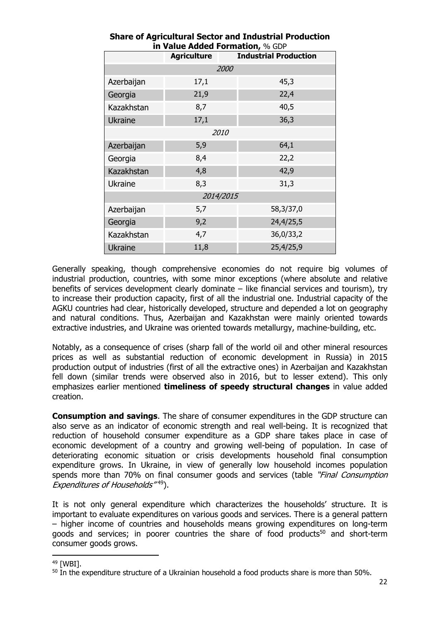|                | <b>III value Added Formation,</b> % GDP<br><b>Industrial Production</b><br><b>Agriculture</b> |           |  |  |  |  |
|----------------|-----------------------------------------------------------------------------------------------|-----------|--|--|--|--|
|                |                                                                                               |           |  |  |  |  |
| 2000           |                                                                                               |           |  |  |  |  |
| Azerbaijan     | 17,1                                                                                          | 45,3      |  |  |  |  |
| Georgia        | 21,9                                                                                          | 22,4      |  |  |  |  |
| Kazakhstan     | 8,7                                                                                           | 40,5      |  |  |  |  |
| <b>Ukraine</b> | 17,1                                                                                          | 36,3      |  |  |  |  |
|                | 2010                                                                                          |           |  |  |  |  |
| Azerbaijan     | 5,9                                                                                           | 64,1      |  |  |  |  |
| Georgia        | 8,4                                                                                           | 22,2      |  |  |  |  |
| Kazakhstan     | 4,8                                                                                           | 42,9      |  |  |  |  |
| <b>Ukraine</b> | 8,3                                                                                           | 31,3      |  |  |  |  |
|                | 2014/2015                                                                                     |           |  |  |  |  |
| Azerbaijan     | 5,7                                                                                           | 58,3/37,0 |  |  |  |  |
| Georgia        | 9,2                                                                                           | 24,4/25,5 |  |  |  |  |
| Kazakhstan     | 4,7                                                                                           | 36,0/33,2 |  |  |  |  |
| <b>Ukraine</b> | 11,8                                                                                          | 25,4/25,9 |  |  |  |  |

## **Share of Agricultural Sector and Industrial Production in Value Added Formation,** % GDP

Generally speaking, though comprehensive economies do not require big volumes of industrial production, countries, with some minor exceptions (where absolute and relative benefits of services development clearly dominate – like financial services and tourism), try to increase their production capacity, first of all the industrial one. Industrial capacity of the AGKU countries had clear, historically developed, structure and depended a lot on geography and natural conditions. Thus, Azerbaijan and Kazakhstan were mainly oriented towards extractive industries, and Ukraine was oriented towards metallurgy, machine-building, etc.

Notably, as a consequence of crises (sharp fall of the world oil and other mineral resources prices as well as substantial reduction of economic development in Russia) in 2015 production output of industries (first of all the extractive ones) in Azerbaijan and Kazakhstan fell down (similar trends were observed also in 2016, but to lesser extend). This only emphasizes earlier mentioned **timeliness of speedy structural changes** in value added creation.

**Consumption and savings**. The share of consumer expenditures in the GDP structure can also serve as an indicator of economic strength and real well-being. It is recognized that reduction of household consumer expenditure as a GDP share takes place in case of economic development of a country and growing well-being of population. In case of deteriorating economic situation or crisis developments household final consumption expenditure grows. In Ukraine, in view of generally low household incomes population spends more than 70% on final consumer goods and services (table "*Final Consumption*" Expenditures of Households<sup>"49</sup>).

It is not only general expenditure which characterizes the households' structure. It is important to evaluate expenditures on various goods and services. There is a general pattern – higher income of countries and households means growing expenditures on long-term goods and services; in poorer countries the share of food products<sup>50</sup> and short-term consumer goods grows.

 49 [WBI].

 $50$  In the expenditure structure of a Ukrainian household a food products share is more than 50%.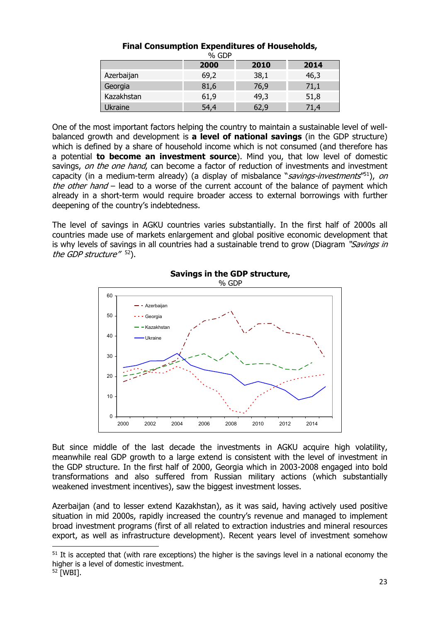| % GDP      |      |      |      |  |  |
|------------|------|------|------|--|--|
|            | 2000 | 2010 | 2014 |  |  |
| Azerbaijan | 69,2 | 38,1 | 46,3 |  |  |
| Georgia    | 81,6 | 76,9 | 71,1 |  |  |
| Kazakhstan | 61,9 | 49,3 | 51,8 |  |  |
| Ukraine    | 54,4 |      | 71,4 |  |  |

### **Final Consumption Expenditures of Households,**

One of the most important factors helping the country to maintain a sustainable level of wellbalanced growth and development is **a level of national savings** (in the GDP structure) which is defined by a share of household income which is not consumed (and therefore has a potential **to become an investment source**). Mind you, that low level of domestic savings, on the one hand, can become a factor of reduction of investments and investment capacity (in a medium-term already) (a display of misbalance "savings-investments"<sup>51</sup>), on the other hand  $-$  lead to a worse of the current account of the balance of payment which already in a short-term would require broader access to external borrowings with further deepening of the country's indebtedness.

The level of savings in AGKU countries varies substantially. In the first half of 2000s all countries made use of markets enlargement and global positive economic development that is why levels of savings in all countries had a sustainable trend to grow (Diagram "Savings in the GDP structure<sup>" 52</sup>).



**Savings in the GDP structure,**  % GDP

But since middle of the last decade the investments in AGKU acquire high volatility, meanwhile real GDP growth to a large extend is consistent with the level of investment in the GDP structure. In the first half of 2000, Georgia which in 2003-2008 engaged into bold transformations and also suffered from Russian military actions (which substantially weakened investment incentives), saw the biggest investment losses.

Azerbaijan (and to lesser extend Kazakhstan), as it was said, having actively used positive situation in mid 2000s, rapidly increased the country's revenue and managed to implement broad investment programs (first of all related to extraction industries and mineral resources export, as well as infrastructure development). Recent years level of investment somehow

<sup>&</sup>lt;sup>51</sup> It is accepted that (with rare exceptions) the higher is the savings level in a national economy the higher is a level of domestic investment.

<sup>52 [</sup>WBI].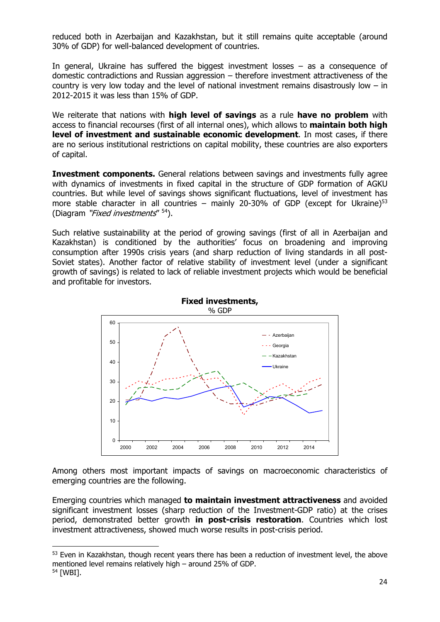reduced both in Azerbaijan and Kazakhstan, but it still remains quite acceptable (around 30% of GDP) for well-balanced development of countries.

In general, Ukraine has suffered the biggest investment losses  $-$  as a consequence of domestic contradictions and Russian aggression – therefore investment attractiveness of the country is very low today and the level of national investment remains disastrously low – in 2012-2015 it was less than 15% of GDP.

We reiterate that nations with **high level of savings** as a rule **have no problem** with access to financial recourses (first of all internal ones), which allows to **maintain both high level of investment and sustainable economic development**. In most cases, if there are no serious institutional restrictions on capital mobility, these countries are also exporters of capital.

**Investment components.** General relations between savings and investments fully agree with dynamics of investments in fixed capital in the structure of GDP formation of AGKU countries. But while level of savings shows significant fluctuations, level of investment has more stable character in all countries – mainly 20-30% of GDP (except for Ukraine)<sup>53</sup> (Diagram "Fixed investments" <sup>54</sup>).

Such relative sustainability at the period of growing savings (first of all in Azerbaijan and Kazakhstan) is conditioned by the authorities' focus on broadening and improving consumption after 1990s crisis years (and sharp reduction of living standards in all post-Soviet states). Another factor of relative stability of investment level (under a significant growth of savings) is related to lack of reliable investment projects which would be beneficial and profitable for investors.



Among others most important impacts of savings on macroeconomic characteristics of emerging countries are the following.

Emerging countries which managed **to maintain investment attractiveness** and avoided significant investment losses (sharp reduction of the Investment-GDP ratio) at the crises period, demonstrated better growth **in post-crisis restoration**. Countries which lost investment attractiveness, showed much worse results in post-crisis period.

<sup>&</sup>lt;sup>53</sup> Even in Kazakhstan, though recent years there has been a reduction of investment level, the above mentioned level remains relatively high – around 25% of GDP. 54 [WBI].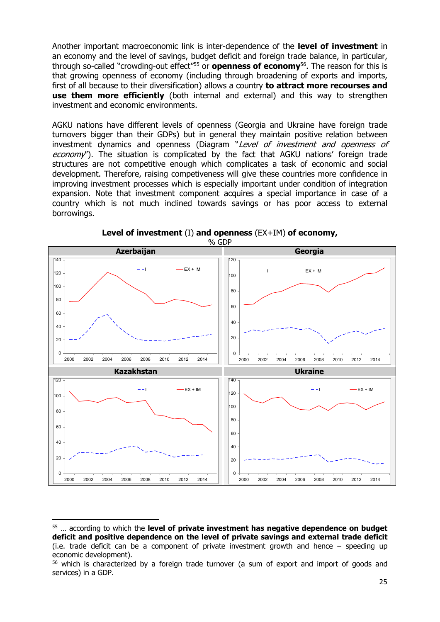Another important macroeconomic link is inter-dependence of the **level of investment** in an economy and the level of savings, budget deficit and foreign trade balance, in particular, through so-called "crowding-out effect"55 or **openness of economy**56. The reason for this is that growing openness of economy (including through broadening of exports and imports, first of all because to their diversification) allows a country **to attract more recourses and use them more efficiently** (both internal and external) and this way to strengthen investment and economic environments.

AGKU nations have different levels of openness (Georgia and Ukraine have foreign trade turnovers bigger than their GDPs) but in general they maintain positive relation between investment dynamics and openness (Diagram "Level of investment and openness of economy"). The situation is complicated by the fact that AGKU nations' foreign trade structures are not competitive enough which complicates a task of economic and social development. Therefore, raising competiveness will give these countries more confidence in improving investment processes which is especially important under condition of integration expansion. Note that investment component acquires a special importance in case of a country which is not much inclined towards savings or has poor access to external borrowings.



**Level of investment** (I) **and openness** (EX+IM) **of economy,** 

<sup>55 …</sup> according to which the **level of private investment has negative dependence on budget deficit and positive dependence on the level of private savings and external trade deficit** (i.e. trade deficit can be a component of private investment growth and hence – speeding up economic development).

<sup>&</sup>lt;sup>56</sup> which is characterized by a foreign trade turnover (a sum of export and import of goods and services) in a GDP.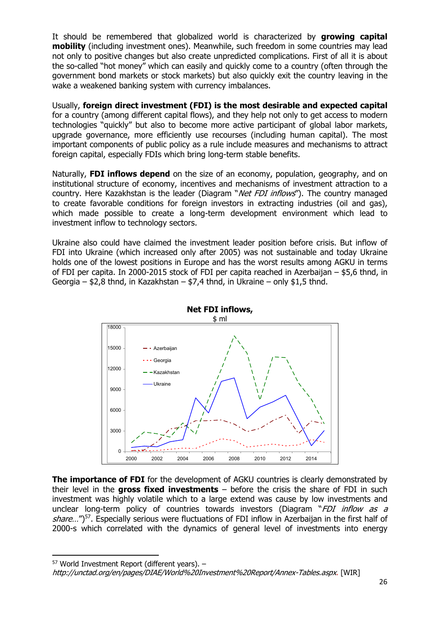It should be remembered that globalized world is characterized by **growing capital mobility** (including investment ones). Meanwhile, such freedom in some countries may lead not only to positive changes but also create unpredicted complications. First of all it is about the so-called "hot money" which can easily and quickly come to a country (often through the government bond markets or stock markets) but also quickly exit the country leaving in the wake a weakened banking system with currency imbalances.

Usually, **foreign direct investment (FDI) is the most desirable and expected capital** for a country (among different capital flows), and they help not only to get access to modern technologies "quickly" but also to become more active participant of global labor markets, upgrade governance, more efficiently use recourses (including human capital). The most important components of public policy as a rule include measures and mechanisms to attract foreign capital, especially FDIs which bring long-term stable benefits.

Naturally, **FDI inflows depend** on the size of an economy, population, geography, and on institutional structure of economy, incentives and mechanisms of investment attraction to a country. Here Kazakhstan is the leader (Diagram "Net FDI inflows"). The country managed to create favorable conditions for foreign investors in extracting industries (oil and gas), which made possible to create a long-term development environment which lead to investment inflow to technology sectors.

Ukraine also could have claimed the investment leader position before crisis. But inflow of FDI into Ukraine (which increased only after 2005) was not sustainable and today Ukraine holds one of the lowest positions in Europe and has the worst results among AGKU in terms of FDI per capita. In 2000-2015 stock of FDI per capita reached in Azerbaijan – \$5,6 thnd, in Georgia – \$2,8 thnd, in Kazakhstan – \$7,4 thnd, in Ukraine – only \$1,5 thnd.



**The importance of FDI** for the development of AGKU countries is clearly demonstrated by their level in the **gross fixed investments** – before the crisis the share of FDI in such investment was highly volatile which to a large extend was cause by low investments and unclear long-term policy of countries towards investors (Diagram "FDI inflow as a share...")<sup>57</sup>. Especially serious were fluctuations of FDI inflow in Azerbaijan in the first half of 2000-s which correlated with the dynamics of general level of investments into energy

 $57$  World Investment Report (different years).  $-$ 

http://unctad.org/en/pages/DIAE/World%20Investment%20Report/Annex-Tables.aspx. [WIR]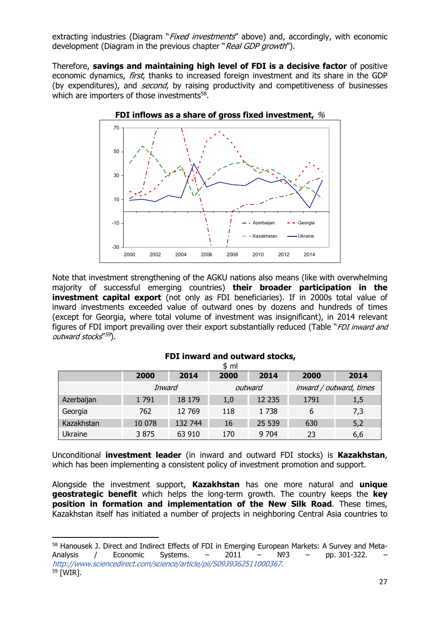extracting industries (Diagram "*Fixed investments*" above) and, accordingly, with economic development (Diagram in the previous chapter "Real GDP growth").

Therefore, **savings and maintaining high level of FDI is a decisive factor** of positive economic dynamics, first, thanks to increased foreign investment and its share in the GDP (by expenditures), and *second*, by raising productivity and competitiveness of businesses which are importers of those investments<sup>58</sup>.



Note that investment strengthening of the AGKU nations also means (like with overwhelming majority of successful emerging countries) **their broader participation in the investment capital export** (not only as FDI beneficiaries). If in 2000s total value of inward investments exceeded value of outward ones by dozens and hundreds of times (except for Georgia, where total volume of investment was insignificant), in 2014 relevant figures of FDI import prevailing over their export substantially reduced (Table "FDI inward and outward stocks"<sup>59</sup>).

|            |        |         | \$ ml |         |      |                         |
|------------|--------|---------|-------|---------|------|-------------------------|
|            | 2000   | 2014    | 2000  | 2014    | 2000 | 2014                    |
|            | Inward |         |       | outward |      | inward / outward, times |
| Azerbaijan | 1791   | 18 179  | 1,0   | 12 235  | 1791 | 1,5                     |
| Georgia    | 762    | 12 769  | 118   | 1738    | 6    | 7,3                     |
| Kazakhstan | 10 078 | 132 744 | 16    | 25 539  | 630  | 5,2                     |
| Ukraine    | 3875   | 63 910  | 170   | 9 7 0 4 | 23   | 6,6                     |

### **FDI inward and outward stocks,**

Unconditional **investment leader** (in inward and outward FDI stocks) is **Kazakhstan**, which has been implementing a consistent policy of investment promotion and support.

Alongside the investment support, **Kazakhstan** has one more natural and **unique geostrategic benefit** which helps the long-term growth. The country keeps the **key position in formation and implementation of the New Silk Road**. These times, Kazakhstan itself has initiated a number of projects in neighboring Central Asia countries to

<sup>58</sup> Hanousek J. Direct and Indirect Effects of FDI in Emerging European Markets: A Survey and Meta-Analysis / Economic Systems. –  $2011 - N<sup>2</sup>3$  – pp. 301-322. http://www.sciencedirect.com/science/article/pii/S0939362511000367. 59 [WIR].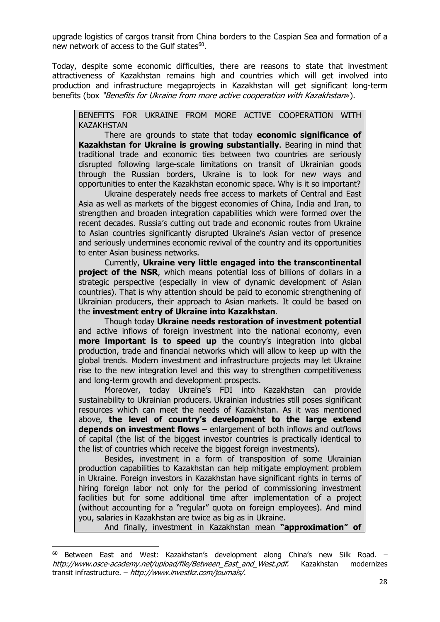upgrade logistics of cargos transit from China borders to the Caspian Sea and formation of a new network of access to the Gulf states<sup>60</sup>.

Today, despite some economic difficulties, there are reasons to state that investment attractiveness of Kazakhstan remains high and countries which will get involved into production and infrastructure megaprojects in Kazakhstan will get significant long-term benefits (box "Benefits for Ukraine from more active cooperation with Kazakhstan»).

BENEFITS FOR UKRAINE FROM MORE ACTIVE COOPERATION WITH KAZAKHSTAN

 There are grounds to state that today **economic significance of Kazakhstan for Ukraine is growing substantially**. Bearing in mind that traditional trade and economic ties between two countries are seriously disrupted following large-scale limitations on transit of Ukrainian goods through the Russian borders, Ukraine is to look for new ways and opportunities to enter the Kazakhstan economic space. Why is it so important?

 Ukraine desperately needs free access to markets of Central and East Asia as well as markets of the biggest economies of China, India and Iran, to strengthen and broaden integration capabilities which were formed over the recent decades. Russia's cutting out trade and economic routes from Ukraine to Asian countries significantly disrupted Ukraine's Asian vector of presence and seriously undermines economic revival of the country and its opportunities to enter Asian business networks.

 Currently, **Ukraine very little engaged into the transcontinental project of the NSR**, which means potential loss of billions of dollars in a strategic perspective (especially in view of dynamic development of Asian countries). That is why attention should be paid to economic strengthening of Ukrainian producers, their approach to Asian markets. It could be based on the **investment entry of Ukraine into Kazakhstan**.

 Though today **Ukraine needs restoration of investment potential** and active inflows of foreign investment into the national economy, even **more important is to speed up** the country's integration into global production, trade and financial networks which will allow to keep up with the global trends. Modern investment and infrastructure projects may let Ukraine rise to the new integration level and this way to strengthen competitiveness and long-term growth and development prospects.

 Moreover, today Ukraine's FDI into Kazakhstan can provide sustainability to Ukrainian producers. Ukrainian industries still poses significant resources which can meet the needs of Kazakhstan. As it was mentioned above, **the level of country's development to the large extend depends on investment flows** – enlargement of both inflows and outflows of capital (the list of the biggest investor countries is practically identical to the list of countries which receive the biggest foreign investments).

 Besides, investment in a form of transposition of some Ukrainian production capabilities to Kazakhstan can help mitigate employment problem in Ukraine. Foreign investors in Kazakhstan have significant rights in terms of hiring foreign labor not only for the period of commissioning investment facilities but for some additional time after implementation of a project (without accounting for a "regular" quota on foreign employees). And mind you, salaries in Kazakhstan are twice as big as in Ukraine.

And finally, investment in Kazakhstan mean **"approximation" of** 

 $60$  Between East and West: Kazakhstan's development along China's new Silk Road. – http://www.osce-academy.net/upload/file/Between East and West.pdf. Kazakhstan modernizes transit infrastructure. – http://www.investkz.com/journals/.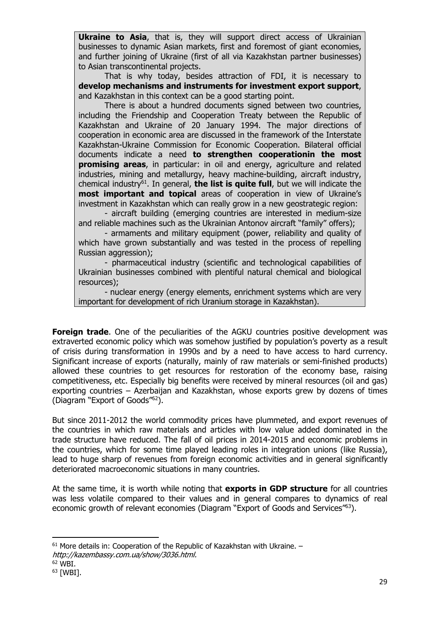**Ukraine to Asia**, that is, they will support direct access of Ukrainian businesses to dynamic Asian markets, first and foremost of giant economies, and further joining of Ukraine (first of all via Kazakhstan partner businesses) to Asian transcontinental projects.

 That is why today, besides attraction of FDI, it is necessary to **develop mechanisms and instruments for investment export support**, and Kazakhstan in this context can be a good starting point.

 There is about a hundred documents signed between two countries, including the Friendship and Cooperation Treaty between the Republic of Kazakhstan and Ukraine of 20 January 1994. The major directions of cooperation in economic area are discussed in the framework of the Interstate Kazakhstan-Ukraine Commission for Economic Cooperation. Bilateral official documents indicate a need **to strengthen cooperationin the most promising areas**, in particular: in oil and energy, agriculture and related industries, mining and metallurgy, heavy machine-building, aircraft industry, chemical industry61. In general, **the list is quite full**, but we will indicate the **most important and topical** areas of cooperation in view of Ukraine's investment in Kazakhstan which can really grow in a new geostrategic region:

 - aircraft building (emerging countries are interested in medium-size and reliable machines such as the Ukrainian Antonov aircraft "family" offers);

 - armaments and military equipment (power, reliability and quality of which have grown substantially and was tested in the process of repelling Russian aggression);

 - pharmaceutical industry (scientific and technological capabilities of Ukrainian businesses combined with plentiful natural chemical and biological resources);

 - nuclear energy (energy elements, enrichment systems which are very important for development of rich Uranium storage in Kazakhstan).

**Foreign trade.** One of the peculiarities of the AGKU countries positive development was extraverted economic policy which was somehow justified by population's poverty as a result of crisis during transformation in 1990s and by a need to have access to hard currency. Significant increase of exports (naturally, mainly of raw materials or semi-finished products) allowed these countries to get resources for restoration of the economy base, raising competitiveness, etc. Especially big benefits were received by mineral resources (oil and gas) exporting countries – Azerbaijan and Kazakhstan, whose exports grew by dozens of times (Diagram "Export of Goods"62).

But since 2011-2012 the world commodity prices have plummeted, and export revenues of the countries in which raw materials and articles with low value added dominated in the trade structure have reduced. The fall of oil prices in 2014-2015 and economic problems in the countries, which for some time played leading roles in integration unions (like Russia), lead to huge sharp of revenues from foreign economic activities and in general significantly deteriorated macroeconomic situations in many countries.

At the same time, it is worth while noting that **exports in GDP structure** for all countries was less volatile compared to their values and in general compares to dynamics of real economic growth of relevant economies (Diagram "Export of Goods and Services"63).

 $61$  More details in: Cooperation of the Republic of Kazakhstan with Ukraine.  $$ http://kazembassy.com.ua/show/3036.html.

 $62$  WBI.

<sup>63 [</sup>WBI].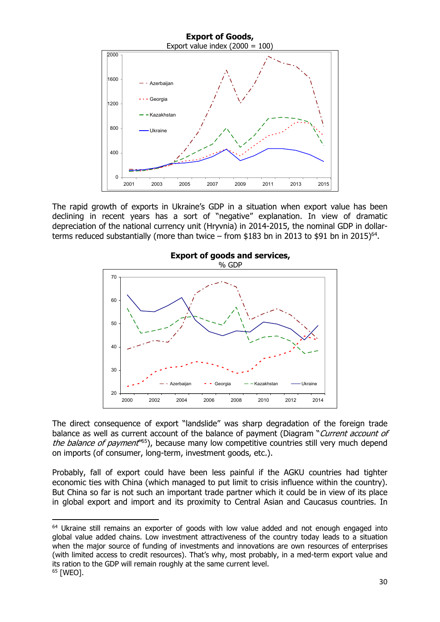

The rapid growth of exports in Ukraine's GDP in a situation when export value has been declining in recent years has a sort of "negative" explanation. In view of dramatic depreciation of the national currency unit (Hryvnia) in 2014-2015, the nominal GDP in dollarterms reduced substantially (more than twice – from \$183 bn in 2013 to \$91 bn in 2015)<sup>64</sup>.



The direct consequence of export "landslide" was sharp degradation of the foreign trade balance as well as current account of the balance of payment (Diagram "Current account of the balance of payment<sup>165</sup>), because many low competitive countries still very much depend on imports (of consumer, long-term, investment goods, etc.).

Probably, fall of export could have been less painful if the AGKU countries had tighter economic ties with China (which managed to put limit to crisis influence within the country). But China so far is not such an important trade partner which it could be in view of its place in global export and import and its proximity to Central Asian and Caucasus countries. In

<sup>&</sup>lt;sup>64</sup> Ukraine still remains an exporter of goods with low value added and not enough engaged into global value added chains. Low investment attractiveness of the country today leads to a situation when the major source of funding of investments and innovations are own resources of enterprises (with limited access to credit resources). That's why, most probably, in a med-term export value and its ration to the GDP will remain roughly at the same current level.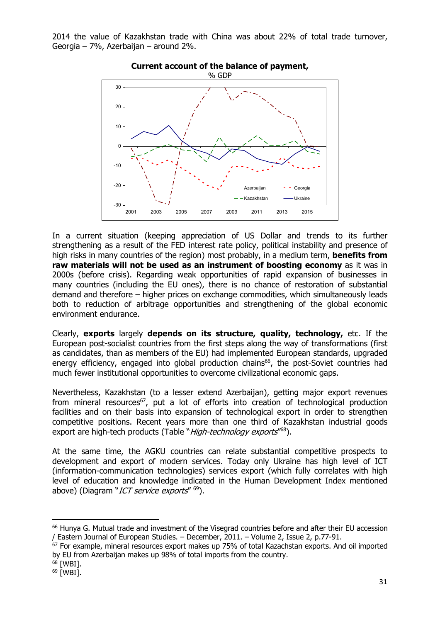2014 the value of Kazakhstan trade with China was about 22% of total trade turnover, Georgia – 7%, Azerbaijan – around 2%.



**Current account of the balance of payment,** 

In a current situation (keeping appreciation of US Dollar and trends to its further strengthening as a result of the FED interest rate policy, political instability and presence of high risks in many countries of the region) most probably, in a medium term, **benefits from raw materials will not be used as an instrument of boosting economy** as it was in 2000s (before crisis). Regarding weak opportunities of rapid expansion of businesses in many countries (including the EU ones), there is no chance of restoration of substantial demand and therefore – higher prices on exchange commodities, which simultaneously leads both to reduction of arbitrage opportunities and strengthening of the global economic environment endurance.

Clearly, **exports** largely **depends on its structure, quality, technology,** etc. If the European post-socialist countries from the first steps along the way of transformations (first as candidates, than as members of the EU) had implemented European standards, upgraded energy efficiency, engaged into global production chains<sup>66</sup>, the post-Soviet countries had much fewer institutional opportunities to overcome civilizational economic gaps.

Nevertheless, Kazakhstan (to a lesser extend Azerbaijan), getting major export revenues from mineral resources<sup>67</sup>, put a lot of efforts into creation of technological production facilities and on their basis into expansion of technological export in order to strengthen competitive positions. Recent years more than one third of Kazakhstan industrial goods export are high-tech products (Table "High-technology exports"<sup>68</sup>).

At the same time, the AGKU countries can relate substantial competitive prospects to development and export of modern services. Today only Ukraine has high level of ICT (information-communication technologies) services export (which fully correlates with high level of education and knowledge indicated in the Human Development Index mentioned above) (Diagram "ICT service exports" <sup>69</sup>).

<sup>66</sup> Hunya G. Mutual trade and investment of the Visegrad countries before and after their EU accession / Eastern Journal of European Studies. – December, 2011. – Volume 2, Issue 2, р.77-91.

<sup>&</sup>lt;sup>67</sup> For example, mineral resources export makes up 75% of total Kazachstan exports. And oil imported by EU from Azerbaijan makes up 98% of total imports from the country.

 $68$  [WBI].

<sup>69 [</sup>WBI].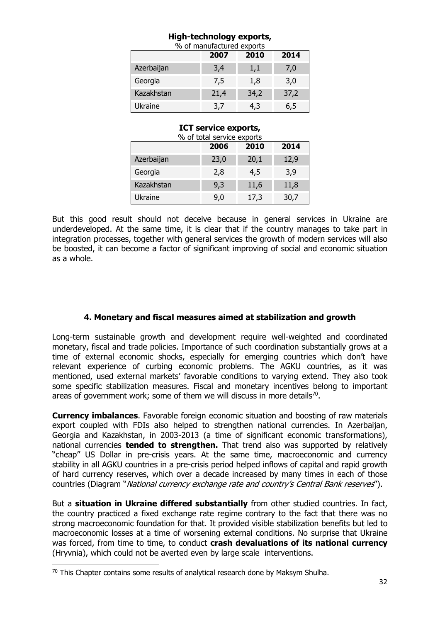### **High-technology exports,**

| % of manufactured exports |      |      |      |  |  |  |  |  |
|---------------------------|------|------|------|--|--|--|--|--|
| 2014<br>2010<br>2007      |      |      |      |  |  |  |  |  |
| Azerbaijan                | 3,4  | 1,1  | 7,0  |  |  |  |  |  |
| Georgia                   | 7,5  | 1,8  | 3,0  |  |  |  |  |  |
| Kazakhstan                | 21,4 | 34,2 | 37,2 |  |  |  |  |  |
| Ukraine                   | 3,7  | 4,3  | 6,5  |  |  |  |  |  |

#### **ICT service exports,**

| 2014<br>2010<br>2006 |      |      |      |  |  |  |  |  |  |
|----------------------|------|------|------|--|--|--|--|--|--|
| Azerbaijan           | 23,0 | 20,1 | 12,9 |  |  |  |  |  |  |
| Georgia              | 2,8  | 4,5  | 3,9  |  |  |  |  |  |  |
| Kazakhstan           | 9,3  | 11,6 | 11,8 |  |  |  |  |  |  |
| Ukraine              | 9,0  | 17,3 | 30,7 |  |  |  |  |  |  |

But this good result should not deceive because in general services in Ukraine are underdeveloped. At the same time, it is clear that if the country manages to take part in integration processes, together with general services the growth of modern services will also be boosted, it can become a factor of significant improving of social and economic situation as a whole.

### **4. Monetary and fiscal measures aimed at stabilization and growth**

Long-term sustainable growth and development require well-weighted and coordinated monetary, fiscal and trade policies. Importance of such coordination substantially grows at a time of external economic shocks, especially for emerging countries which don't have relevant experience of curbing economic problems. The AGKU countries, as it was mentioned, used external markets' favorable conditions to varying extend. They also took some specific stabilization measures. Fiscal and monetary incentives belong to important areas of government work; some of them we will discuss in more details<sup>70</sup>.

**Currency imbalances**. Favorable foreign economic situation and boosting of raw materials export coupled with FDIs also helped to strengthen national currencies. In Azerbaijan, Georgia and Kazakhstan, in 2003-2013 (a time of significant economic transformations), national currencies **tended to strengthen.** That trend also was supported by relatively "cheap" US Dollar in pre-crisis years. At the same time, macroeconomic and currency stability in all AGKU countries in a pre-crisis period helped inflows of capital and rapid growth of hard currency reserves, which over a decade increased by many times in each of those countries (Diagram "*National currency exchange rate and country's Central Bank reserves*").

But a **situation in Ukraine differed substantially** from other studied countries. In fact, the country practiced a fixed exchange rate regime contrary to the fact that there was no strong macroeconomic foundation for that. It provided visible stabilization benefits but led to macroeconomic losses at a time of worsening external conditions. No surprise that Ukraine was forced, from time to time, to conduct **crash devaluations of its national currency** (Hryvnia), which could not be averted even by large scale interventions.

 $70$  This Chapter contains some results of analytical research done by Maksym Shulha.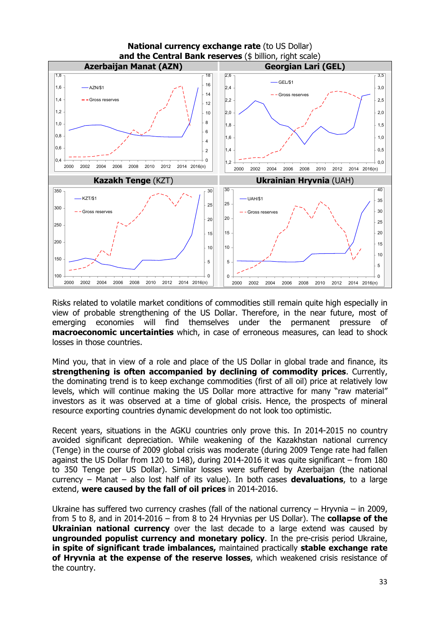

Risks related to volatile market conditions of commodities still remain quite high especially in view of probable strengthening of the US Dollar. Therefore, in the near future, most of emerging economies will find themselves under the permanent pressure of **macroeconomic uncertainties** which, in case of erroneous measures, can lead to shock losses in those countries.

Mind you, that in view of a role and place of the US Dollar in global trade and finance, its **strengthening is often accompanied by declining of commodity prices**. Currently, the dominating trend is to keep exchange commodities (first of all oil) price at relatively low levels, which will continue making the US Dollar more attractive for many "raw material" investors as it was observed at a time of global crisis. Hence, the prospects of mineral resource exporting countries dynamic development do not look too optimistic.

Recent years, situations in the AGKU countries only prove this. In 2014-2015 no country avoided significant depreciation. While weakening of the Kazakhstan national currency (Tenge) in the course of 2009 global crisis was moderate (during 2009 Tenge rate had fallen against the US Dollar from 120 to 148), during 2014-2016 it was quite significant – from 180 to 350 Tenge per US Dollar). Similar losses were suffered by Azerbaijan (the national currency – Manat – also lost half of its value). In both cases **devaluations**, to a large extend, **were caused by the fall of oil prices** in 2014-2016.

Ukraine has suffered two currency crashes (fall of the national currency – Hryvnia – in 2009, from 5 to 8, and in 2014-2016 – from 8 to 24 Hryvnias per US Dollar). The **collapse of the Ukrainian national currency** over the last decade to a large extend was caused by **ungrounded populist currency and monetary policy**. In the pre-crisis period Ukraine, **in spite of significant trade imbalances,** maintained practically **stable exchange rate of Hryvnia at the expense of the reserve losses**, which weakened crisis resistance of the country.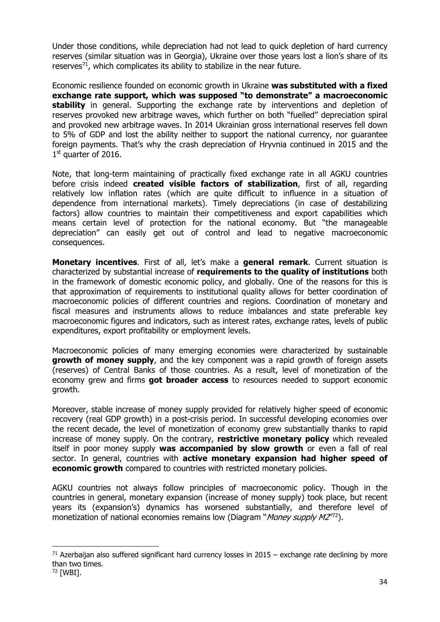Under those conditions, while depreciation had not lead to quick depletion of hard currency reserves (similar situation was in Georgia), Ukraine over those years lost a lion's share of its reserves $71$ , which complicates its ability to stabilize in the near future.

Economic resilience founded on economic growth in Ukraine **was substituted with a fixed exchange rate support, which was supposed "to demonstrate" a macroeconomic stability** in general. Supporting the exchange rate by interventions and depletion of reserves provoked new arbitrage waves, which further on both "fuelled" depreciation spiral and provoked new arbitrage waves. In 2014 Ukrainian gross international reserves fell down to 5% of GDP and lost the ability neither to support the national currency, nor guarantee foreign payments. That's why the crash depreciation of Hryvnia continued in 2015 and the 1st quarter of 2016.

Note, that long-term maintaining of practically fixed exchange rate in all AGKU countries before crisis indeed **created visible factors of stabilization**, first of all, regarding relatively low inflation rates (which are quite difficult to influence in a situation of dependence from international markets). Timely depreciations (in case of destabilizing factors) allow countries to maintain their competitiveness and export capabilities which means certain level of protection for the national economy. But "the manageable depreciation" can easily get out of control and lead to negative macroeconomic consequences.

**Monetary incentives**. First of all, let's make a **general remark**. Current situation is characterized by substantial increase of **requirements to the quality of institutions** both in the framework of domestic economic policy, and globally. One of the reasons for this is that approximation of requirements to institutional quality allows for better coordination of macroeconomic policies of different countries and regions. Coordination of monetary and fiscal measures and instruments allows to reduce imbalances and state preferable key macroeconomic figures and indicators, such as interest rates, exchange rates, levels of public expenditures, export profitability or employment levels.

Macroeconomic policies of many emerging economies were characterized by sustainable **growth of money supply**, and the key component was a rapid growth of foreign assets (reserves) of Central Banks of those countries. As a result, level of monetization of the economy grew and firms **got broader access** to resources needed to support economic growth.

Moreover, stable increase of money supply provided for relatively higher speed of economic recovery (real GDP growth) in a post-crisis period. In successful developing economies over the recent decade, the level of monetization of economy grew substantially thanks to rapid increase of money supply. On the contrary, **restrictive monetary policy** which revealed itself in poor money supply **was accompanied by slow growth** or even a fall of real sector. In general, countries with **active monetary expansion had higher speed of economic growth** compared to countries with restricted monetary policies.

AGKU countries not always follow principles of macroeconomic policy. Though in the countries in general, monetary expansion (increase of money supply) took place, but recent years its (expansion's) dynamics has worsened substantially, and therefore level of monetization of national economies remains low (Diagram "*Money supply M2*<sup>772</sup>).

 $71$  Azerbaijan also suffered significant hard currency losses in 2015 – exchange rate declining by more than two times.

<sup>72 [</sup>WBI].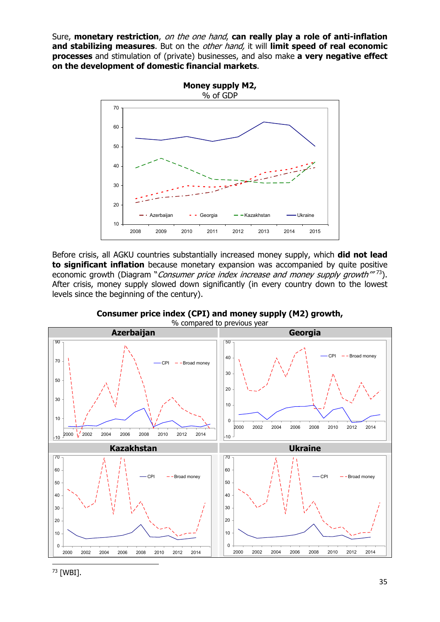Sure, **monetary restriction**, on the one hand, **can really play a role of anti-inflation and stabilizing measures**. But on the other hand, it will **limit speed of real economic processes** and stimulation of (private) businesses, and also make **a very negative effect on the development of domestic financial markets**.



Before crisis, all AGKU countries substantially increased money supply, which **did not lead to significant inflation** because monetary expansion was accompanied by quite positive economic growth (Diagram "Consumer price index increase and money supply growth"<sup>73</sup>). After crisis, money supply slowed down significantly (in every country down to the lowest levels since the beginning of the century).



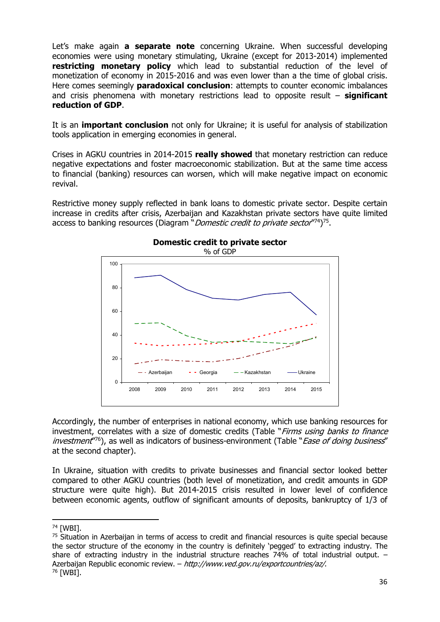Let's make again **a separate note** concerning Ukraine. When successful developing economies were using monetary stimulating, Ukraine (except for 2013-2014) implemented **restricting monetary policy** which lead to substantial reduction of the level of monetization of economy in 2015-2016 and was even lower than a the time of global crisis. Here comes seemingly **paradoxical conclusion**: attempts to counter economic imbalances and crisis phenomena with monetary restrictions lead to opposite result – **significant reduction of GDP**.

It is an **important conclusion** not only for Ukraine; it is useful for analysis of stabilization tools application in emerging economies in general.

Crises in AGKU countries in 2014-2015 **really showed** that monetary restriction can reduce negative expectations and foster macroeconomic stabilization. But at the same time access to financial (banking) resources can worsen, which will make negative impact on economic revival.

Restrictive money supply reflected in bank loans to domestic private sector. Despite certain increase in credits after crisis, Azerbaijan and Kazakhstan private sectors have quite limited access to banking resources (Diagram "*Domestic credit to private sector* $(74)$ <sup>75</sup>.



Accordingly, the number of enterprises in national economy, which use banking resources for investment, correlates with a size of domestic credits (Table "Firms using banks to finance investment<sup>176</sup>), as well as indicators of business-environment (Table "*Ease of doing business*" at the second chapter).

In Ukraine, situation with credits to private businesses and financial sector looked better compared to other AGKU countries (both level of monetization, and credit amounts in GDP structure were quite high). But 2014-2015 crisis resulted in lower level of confidence between economic agents, outflow of significant amounts of deposits, bankruptcy of 1/3 of

<sup>74 [</sup>WBI].

<sup>&</sup>lt;sup>75</sup> Situation in Azerbaijan in terms of access to credit and financial resources is quite special because the sector structure of the economy in the country is definitely 'pegged' to extracting industry. The share of extracting industry in the industrial structure reaches 74% of total industrial output. – Azerbaijan Republic economic review. – http://www.ved.gov.ru/exportcountries/az/.<br><sup>76</sup> [WBI].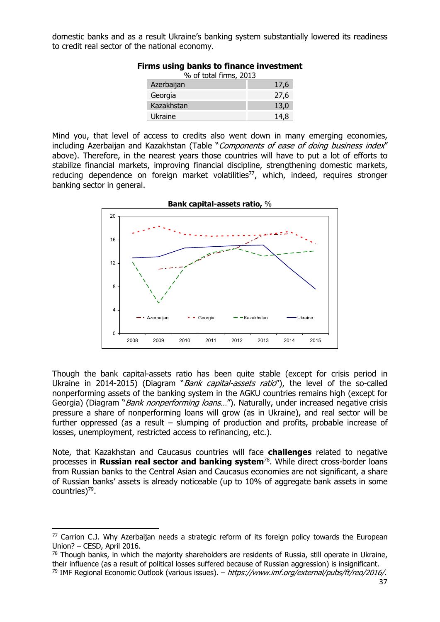domestic banks and as a result Ukraine's banking system substantially lowered its readiness to credit real sector of the national economy.

| % of total firms, 2013 |      |  |  |  |  |  |
|------------------------|------|--|--|--|--|--|
| Azerbaijan             | 17,6 |  |  |  |  |  |
| Georgia                | 27,6 |  |  |  |  |  |
| Kazakhstan             | 13,0 |  |  |  |  |  |
| Ukraine                |      |  |  |  |  |  |

#### **Firms using banks to finance investment**

Mind you, that level of access to credits also went down in many emerging economies, including Azerbaijan and Kazakhstan (Table "Components of ease of doing business index" above). Therefore, in the nearest years those countries will have to put a lot of efforts to stabilize financial markets, improving financial discipline, strengthening domestic markets, reducing dependence on foreign market volatilities<sup>77</sup>, which, indeed, requires stronger banking sector in general.



Though the bank capital-assets ratio has been quite stable (except for crisis period in Ukraine in 2014-2015) (Diagram "*Bank capital-assets ratio*"), the level of the so-called nonperforming assets of the banking system in the AGKU countries remains high (except for Georgia) (Diagram "*Bank nonperforming loans...*"). Naturally, under increased negative crisis pressure a share of nonperforming loans will grow (as in Ukraine), and real sector will be further oppressed (as a result – slumping of production and profits, probable increase of losses, unemployment, restricted access to refinancing, etc.).

Note, that Kazakhstan and Caucasus countries will face **challenges** related to negative processes in **Russian real sector and banking system**78. While direct cross-border loans from Russian banks to the Central Asian and Caucasus economies are not significant, a share of Russian banks' assets is already noticeable (up to 10% of aggregate bank assets in some countries)<sup>79</sup>.

<sup>77</sup> Carrion C.J. Why Azerbaijan needs a strategic reform of its foreign policy towards the European Union? – CESD, April 2016.

 $78$  Though banks, in which the majority shareholders are residents of Russia, still operate in Ukraine, their influence (as a result of political losses suffered because of Russian aggression) is insignificant.

<sup>&</sup>lt;sup>79</sup> IMF Regional Economic Outlook (various issues). – https://www.imf.org/external/pubs/ft/reo/2016/.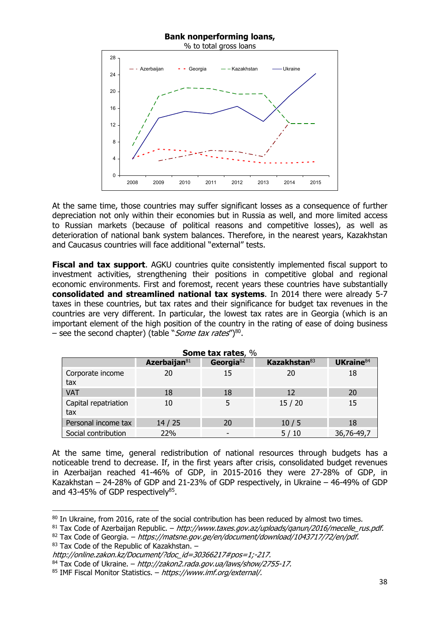#### **Bank nonperforming loans,**



At the same time, those countries may suffer significant losses as a consequence of further depreciation not only within their economies but in Russia as well, and more limited access to Russian markets (because of political reasons and competitive losses), as well as deterioration of national bank system balances. Therefore, in the nearest years, Kazakhstan and Caucasus countries will face additional "external" tests.

**Fiscal and tax support.** AGKU countries quite consistently implemented fiscal support to investment activities, strengthening their positions in competitive global and regional economic environments. First and foremost, recent years these countries have substantially **consolidated and streamlined national tax systems**. In 2014 there were already 5-7 taxes in these countries, but tax rates and their significance for budget tax revenues in the countries are very different. In particular, the lowest tax rates are in Georgia (which is an important element of the high position of the country in the rating of ease of doing business – see the second chapter) (table "*Some tax rates*") $80$ .

|                             |                 | <b>SOME CAX rates, %</b> |                          |                       |
|-----------------------------|-----------------|--------------------------|--------------------------|-----------------------|
|                             | Azerbaijan $81$ | Georgia $82$             | Kazakhstan <sup>83</sup> | UKraine <sup>84</sup> |
| Corporate income<br>tax     | 20              | 15                       | 20                       | 18                    |
| <b>VAT</b>                  | 18              | 18                       | 12                       | 20                    |
| Capital repatriation<br>tax | 10              |                          | 15/20                    | 15                    |
| Personal income tax         | 14/25           | 20                       | 10/5                     | 18                    |
| Social contribution         | 22%             |                          | 5/10                     | 36,76-49,7            |

**Some tax rates**, %

At the same time, general redistribution of national resources through budgets has a noticeable trend to decrease. If, in the first years after crisis, consolidated budget revenues in Azerbaijan reached 41-46% of GDP, in 2015-2016 they were 27-28% of GDP, in Kazakhstan – 24-28% of GDP and 21-23% of GDP respectively, in Ukraine – 46-49% of GDP and 43-45% of GDP respectively<sup>85</sup>.

 $82$  Tax Code of Georgia. – https://matsne.gov.ge/en/document/download/1043717/72/en/pdf.

83 Tax Code of the Republic of Kazakhstan. -

<sup>&</sup>lt;sup>80</sup> In Ukraine, from 2016, rate of the social contribution has been reduced by almost two times.

 $81$  Tax Code of Azerbaijan Republic. – http://www.taxes.gov.az/uploads/ganun/2016/mecelle\_rus.pdf.

http://online.zakon.kz/Document/?doc\_id=30366217#pos=1;-217.

 $84$  Tax Code of Ukraine. – http://zakon2.rada.gov.ua/laws/show/2755-17.

<sup>85</sup> IMF Fiscal Monitor Statistics. – https://www.imf.org/external/.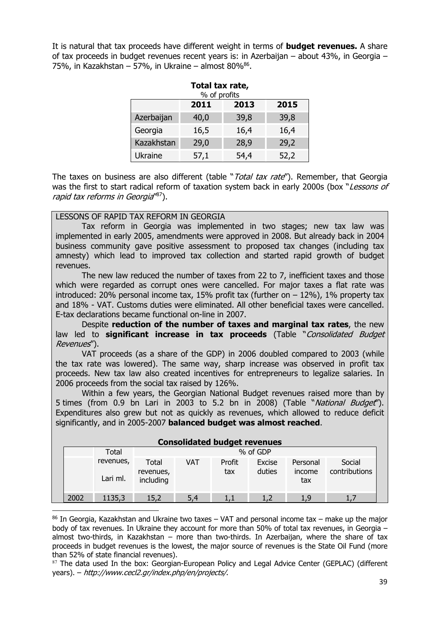It is natural that tax proceeds have different weight in terms of **budget revenues.** A share of tax proceeds in budget revenues recent years is: in Azerbaijan – about 43%, in Georgia – 75%, in Kazakhstan – 57%, in Ukraine – almost 80% $^{86}$ .

| Total tax rate,<br>% of profits |      |      |      |  |  |  |  |  |
|---------------------------------|------|------|------|--|--|--|--|--|
| 2015<br>2013<br>2011            |      |      |      |  |  |  |  |  |
| Azerbaijan                      | 40,0 | 39,8 | 39,8 |  |  |  |  |  |
| Georgia                         | 16,5 | 16,4 | 16,4 |  |  |  |  |  |
| Kazakhstan                      | 29,0 | 28,9 | 29,2 |  |  |  |  |  |
| <b>Ukraine</b>                  | 57,1 | 54,4 | 52,2 |  |  |  |  |  |

The taxes on business are also different (table "Total tax rate"). Remember, that Georgia was the first to start radical reform of taxation system back in early 2000s (box "Lessons of rapid tax reforms in Georgia<sup>"87</sup>).

### LESSONS OF RAPID TAX REFORM IN GEORGIA

 Tax reform in Georgia was implemented in two stages; new tax law was implemented in early 2005, amendments were approved in 2008. But already back in 2004 business community gave positive assessment to proposed tax changes (including tax amnesty) which lead to improved tax collection and started rapid growth of budget revenues.

The new law reduced the number of taxes from 22 to 7, inefficient taxes and those which were regarded as corrupt ones were cancelled. For major taxes a flat rate was introduced: 20% personal income tax, 15% profit tax (further on  $-$  12%), 1% property tax and 18% - VAT. Customs duties were eliminated. All other beneficial taxes were cancelled. E-tax declarations became functional on-line in 2007.

 Despite **reduction of the number of taxes and marginal tax rates**, the new law led to **significant increase in tax proceeds** (Table "Consolidated Budget Revenues").

 VAT proceeds (as a share of the GDP) in 2006 doubled compared to 2003 (while the tax rate was lowered). The same way, sharp increase was observed in profit tax proceeds. New tax law also created incentives for entrepreneurs to legalize salaries. In 2006 proceeds from the social tax raised by 126%.

 Within a few years, the Georgian National Budget revenues raised more than by 5 times (from 0.9 bn Lari in 2003 to 5.2 bn in 2008) (Table "National Budget"). Expenditures also grew but not as quickly as revenues, which allowed to reduce deficit significantly, and in 2005-2007 **balanced budget was almost reached**.

| <b>Consolidated budget revenues</b> |                       |                                 |          |               |                  |                           |                         |  |  |  |  |
|-------------------------------------|-----------------------|---------------------------------|----------|---------------|------------------|---------------------------|-------------------------|--|--|--|--|
|                                     | Total                 |                                 | % of GDP |               |                  |                           |                         |  |  |  |  |
|                                     | revenues,<br>Lari ml. | Total<br>revenues,<br>including | VAT      | Profit<br>tax | Excise<br>duties | Personal<br>income<br>tax | Social<br>contributions |  |  |  |  |
| 2002                                | 1135,3                | 15,2                            | 5.4      |               |                  |                           |                         |  |  |  |  |

 $86$  In Georgia, Kazakhstan and Ukraine two taxes – VAT and personal income tax – make up the major body of tax revenues. In Ukraine they account for more than 50% of total tax revenues, in Georgia – almost two-thirds, in Kazakhstan – more than two-thirds. In Azerbaijan, where the share of tax proceeds in budget revenues is the lowest, the major source of revenues is the State Oil Fund (more than 52% of state financial revenues).

87 The data used In the box: Georgian-European Policy and Legal Advice Center (GEPLAC) (different years). – http://www.cecl2.gr/index.php/en/projects/.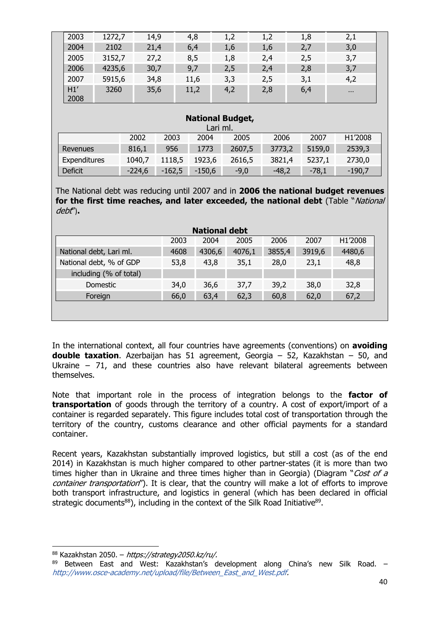| 2003        | 1272,7 | 14,9 | 4,8  | 1,2 | 1.2 | 1,8 | 2,1      |  |
|-------------|--------|------|------|-----|-----|-----|----------|--|
| 2004        | 2102   | 21,4 | 6,4  | 1,6 | 1,6 | 2,7 | 3,0      |  |
| 2005        | 3152,7 | 27,2 | 8,5  | 1,8 | 2,4 | 2,5 | 3,7      |  |
| 2006        | 4235,6 | 30,7 | 9,7  | 2,5 | 2,4 | 2,8 | 3,7      |  |
| 2007        | 5915,6 | 34,8 | 11,6 | 3,3 | 2,5 | 3,1 | 4,2      |  |
| H1'<br>2008 | 3260   | 35,6 | 11,2 | 4,2 | 2,8 | 6,4 | $\cdots$ |  |

#### **National Budget,**

| Lari ml.     |          |          |          |        |         |         |          |  |  |
|--------------|----------|----------|----------|--------|---------|---------|----------|--|--|
|              | 2002     | 2003     | 2004     | 2005   | 2006    | 2007    | H1'2008  |  |  |
| Revenues     | 816,1    | 956      | 1773     | 2607,5 | 3773,2  | 5159,0  | 2539,3   |  |  |
| Expenditures | 1040,7   | 1118,5   | 1923,6   | 2616,5 | 3821,4  | 5237.1  | 2730,0   |  |  |
| Deficit      | $-224.6$ | $-162,5$ | $-150,6$ | $-9,0$ | $-48,2$ | $-78,1$ | $-190.7$ |  |  |

The National debt was reducing until 2007 and in **2006 the national budget revenues**  for the first time reaches, and later exceeded, the national debt (Table "National debt")**.** 

| <b>National debt</b>    |      |        |        |        |        |         |  |  |  |
|-------------------------|------|--------|--------|--------|--------|---------|--|--|--|
|                         | 2003 | 2004   | 2005   | 2006   | 2007   | H1'2008 |  |  |  |
| National debt, Lari ml. | 4608 | 4306,6 | 4076,1 | 3855,4 | 3919,6 | 4480,6  |  |  |  |
| National debt, % of GDP | 53,8 | 43,8   | 35,1   | 28,0   | 23,1   | 48,8    |  |  |  |
| including (% of total)  |      |        |        |        |        |         |  |  |  |
| Domestic                | 34,0 | 36,6   | 37,7   | 39,2   | 38,0   | 32,8    |  |  |  |
| Foreign                 | 66,0 | 63,4   | 62,3   | 60,8   | 62,0   | 67,2    |  |  |  |
|                         |      |        |        |        |        |         |  |  |  |

In the international context, all four countries have agreements (conventions) on **avoiding double taxation**. Azerbaijan has 51 agreement, Georgia – 52, Kazakhstan – 50, and Ukraine – 71, and these countries also have relevant bilateral agreements between themselves.

Note that important role in the process of integration belongs to the **factor of transportation** of goods through the territory of a country. A cost of export/import of a container is regarded separately. This figure includes total cost of transportation through the territory of the country, customs clearance and other official payments for a standard container.

Recent years, Kazakhstan substantially improved logistics, but still a cost (as of the end 2014) in Kazakhstan is much higher compared to other partner-states (it is more than two times higher than in Ukraine and three times higher than in Georgia) (Diagram "Cost of a container transportation"). It is clear, that the country will make a lot of efforts to improve both transport infrastructure, and logistics in general (which has been declared in official strategic documents<sup>88</sup>), including in the context of the Silk Road Initiative<sup>89</sup>.

 $88$  Kazakhstan 2050. – https://strategy2050.kz/ru/.

<sup>89</sup> Between East and West: Kazakhstan's development along China's new Silk Road. http://www.osce-academy.net/upload/file/Between\_East\_and\_West.pdf.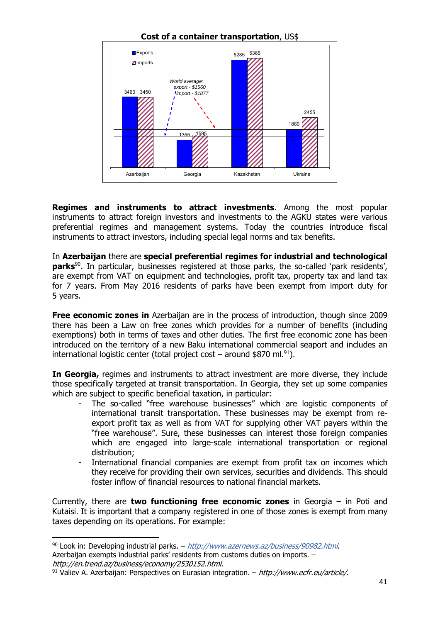

**Regimes and instruments to attract investments**. Among the most popular instruments to attract foreign investors and investments to the AGKU states were various preferential regimes and management systems. Today the countries introduce fiscal instruments to attract investors, including special legal norms and tax benefits.

In **Azerbaijan** there are **special preferential regimes for industrial and technological parks**90. In particular, businesses registered at those parks, the so-called 'park residents', are exempt from VAT on equipment and technologies, profit tax, property tax and land tax for 7 years. From May 2016 residents of parks have been exempt from import duty for 5 years.

**Free economic zones in** Azerbaijan are in the process of introduction, though since 2009 there has been a Law on free zones which provides for a number of benefits (including exemptions) both in terms of taxes and other duties. The first free economic zone has been introduced on the territory of a new Baku international commercial seaport and includes an international logistic center (total project cost – around \$870 ml.<sup>91</sup>).

**In Georgia,** regimes and instruments to attract investment are more diverse, they include those specifically targeted at transit transportation. In Georgia, they set up some companies which are subject to specific beneficial taxation, in particular:

- The so-called "free warehouse businesses" which are logistic components of international transit transportation. These businesses may be exempt from reexport profit tax as well as from VAT for supplying other VAT payers within the "free warehouse". Sure, these businesses can interest those foreign companies which are engaged into large-scale international transportation or regional distribution;
- International financial companies are exempt from profit tax on incomes which they receive for providing their own services, securities and dividends. This should foster inflow of financial resources to national financial markets.

Currently, there are **two functioning free economic zones** in Georgia – in Poti and Kutaisi. It is important that a company registered in one of those zones is exempt from many taxes depending on its operations. For example:

<sup>90</sup> Look in: Developing industrial parks. – http://www.azernews.az/business/90982.html. Azerbaijan exempts industrial parks' residents from customs duties on imports. –

http://en.trend.az/business/economy/2530152.html.<br><sup>91</sup> Valiev A. Azerbaijan: Perspectives on Eurasian integration. – http://www.ecfr.eu/article/.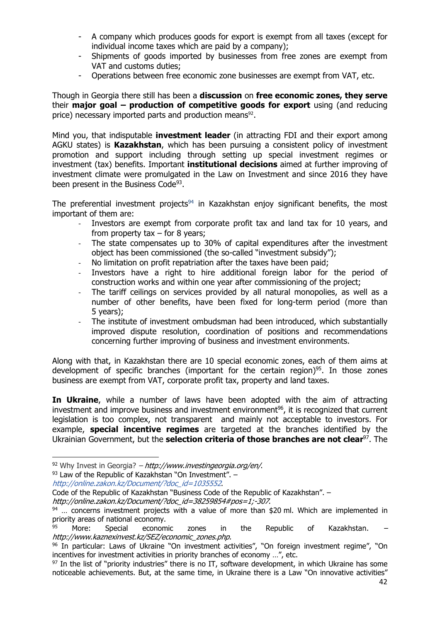- A company which produces goods for export is exempt from all taxes (except for individual income taxes which are paid by a company);
- Shipments of goods imported by businesses from free zones are exempt from VAT and customs duties;
- Operations between free economic zone businesses are exempt from VAT, etc.

Though in Georgia there still has been a **discussion** on **free economic zones, they serve**  their **major goal – production of competitive goods for export** using (and reducing price) necessary imported parts and production means<sup>92</sup>.

Mind you, that indisputable **investment leader** (in attracting FDI and their export among AGKU states) is **Kazakhstan**, which has been pursuing a consistent policy of investment promotion and support including through setting up special investment regimes or investment (tax) benefits. Important **institutional decisions** aimed at further improving of investment climate were promulgated in the Law on Investment and since 2016 they have been present in the Business Code<sup>93</sup>.

The preferential investment projects $94$  in Kazakhstan enjoy significant benefits, the most important of them are:

- Investors are exempt from corporate profit tax and land tax for 10 years, and from property  $tax - for 8 years;$
- The state compensates up to 30% of capital expenditures after the investment object has been commissioned (the so-called "investment subsidy");
- No limitation on profit repatriation after the taxes have been paid;
- Investors have a right to hire additional foreign labor for the period of construction works and within one year after commissioning of the project;
- The tariff ceilings on services provided by all natural monopolies, as well as a number of other benefits, have been fixed for long-term period (more than 5 years);
- ‐ The institute of investment ombudsman had been introduced, which substantially improved dispute resolution, coordination of positions and recommendations concerning further improving of business and investment environments.

Along with that, in Kazakhstan there are 10 special economic zones, each of them aims at development of specific branches (important for the certain region)<sup>95</sup>. In those zones business are exempt from VAT, corporate profit tax, property and land taxes.

**In Ukraine**, while a number of laws have been adopted with the aim of attracting investment and improve business and investment environment<sup>96</sup>, it is recognized that current legislation is too complex, not transparent and mainly not acceptable to investors. For example, **special incentive regimes** are targeted at the branches identified by the Ukrainian Government, but the **selection criteria of those branches are not clear**97. The

 $92$  Why Invest in Georgia? – http://www.investingeorgia.org/en/.

 $93$  Law of the Republic of Kazakhstan "On Investment".  $-$ 

http://online.zakon.kz/Document/?doc\_id=1035552.

Code of the Republic of Kazakhstan "Business Code of the Republic of Kazakhstan". –

http://online.zakon.kz/Document/?doc\_id=38259854#pos=1;-307.<br><sup>94</sup> … concerns investment projects with a value of more than \$20 ml. Which are implemented in priority areas of national economy.

More: Special economic zones in the Republic of Kazakhstan. http://www.kaznexinvest.kz/SEZ/economic\_zones.php.

<sup>96</sup> In particular: Laws of Ukraine "On investment activities", "On foreign investment regime", "On incentives for investment activities in priority branches of economy …", etc.

<sup>&</sup>lt;sup>97</sup> In the list of "priority industries" there is no IT, software development, in which Ukraine has some noticeable achievements. But, at the same time, in Ukraine there is a Law "On innovative activities"